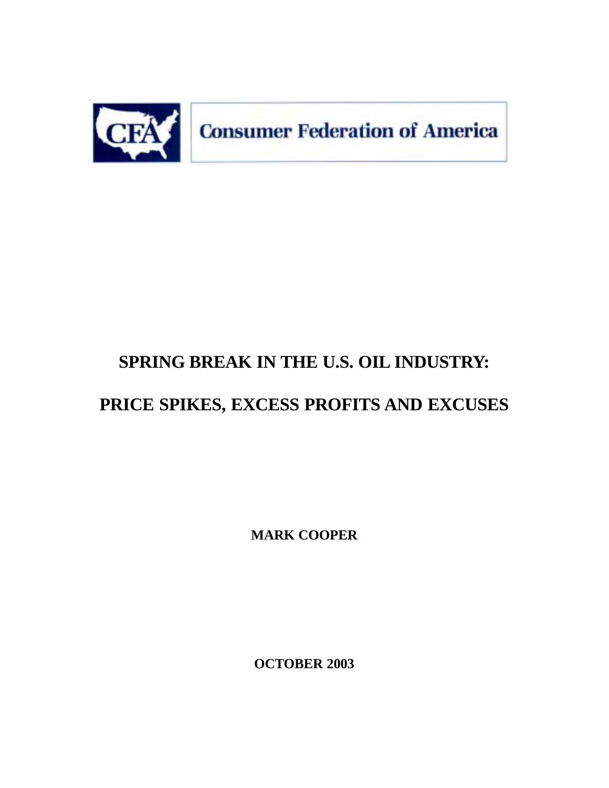

# **SPRING BREAK IN THE U.S. OIL INDUSTRY:**

# **PRICE SPIKES, EXCESS PROFITS AND EXCUSES**

**MARK COOPER**

**OCTOBER 2003**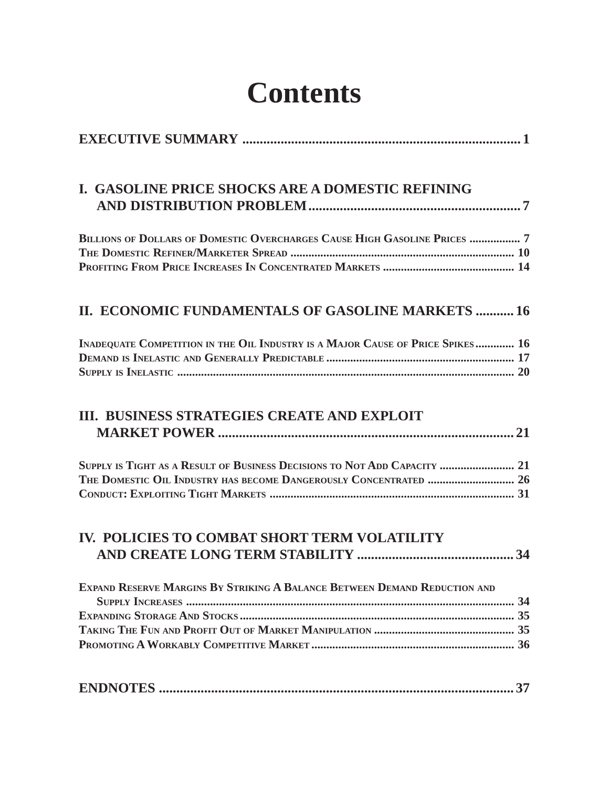# **Contents**

| I. GASOLINE PRICE SHOCKS ARE A DOMESTIC REFINING                                                                                               |
|------------------------------------------------------------------------------------------------------------------------------------------------|
| BILLIONS OF DOLLARS OF DOMESTIC OVERCHARGES CAUSE HIGH GASOLINE PRICES  7                                                                      |
| II. ECONOMIC FUNDAMENTALS OF GASOLINE MARKETS  16                                                                                              |
| INADEQUATE COMPETITION IN THE OIL INDUSTRY IS A MAJOR CAUSE OF PRICE SPIKES 16                                                                 |
| III. BUSINESS STRATEGIES CREATE AND EXPLOIT                                                                                                    |
| SUPPLY IS TIGHT AS A RESULT OF BUSINESS DECISIONS TO NOT ADD CAPACITY  21<br>THE DOMESTIC OIL INDUSTRY HAS BECOME DANGEROUSLY CONCENTRATED  26 |
| IV. POLICIES TO COMBAT SHORT TERM VOLATILITY                                                                                                   |
| EXPAND RESERVE MARGINS BY STRIKING A BALANCE BETWEEN DEMAND REDUCTION AND                                                                      |
|                                                                                                                                                |
| 37                                                                                                                                             |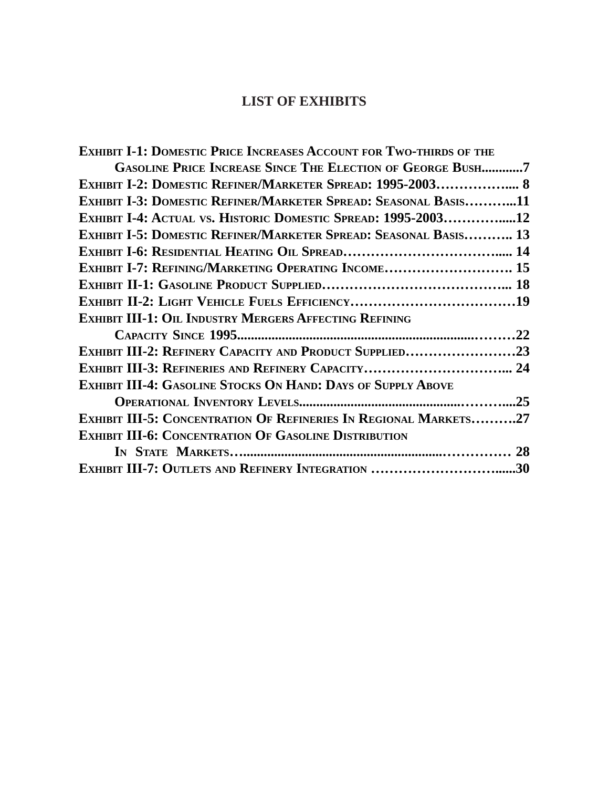# **LIST OF EXHIBITS**

| <b>EXHIBIT I-1: DOMESTIC PRICE INCREASES ACCOUNT FOR TWO-THIRDS OF THE</b> |  |
|----------------------------------------------------------------------------|--|
| <b>GASOLINE PRICE INCREASE SINCE THE ELECTION OF GEORGE BUSH7</b>          |  |
| EXHIBIT I-2: DOMESTIC REFINER/MARKETER SPREAD: 1995-2003 8                 |  |
| EXHIBIT I-3: DOMESTIC REFINER/MARKETER SPREAD: SEASONAL BASIS11            |  |
| EXHIBIT I-4: ACTUAL VS. HISTORIC DOMESTIC SPREAD: 1995-200312              |  |
| EXHIBIT I-5: DOMESTIC REFINER/MARKETER SPREAD: SEASONAL BASIS 13           |  |
|                                                                            |  |
| EXHIBIT I-7: REFINING/MARKETING OPERATING INCOME 15                        |  |
|                                                                            |  |
|                                                                            |  |
| <b>EXHIBIT III-1: OIL INDUSTRY MERGERS AFFECTING REFINING</b>              |  |
|                                                                            |  |
| EXHIBIT III-2: REFINERY CAPACITY AND PRODUCT SUPPLIED23                    |  |
|                                                                            |  |
| <b>EXHIBIT III-4: GASOLINE STOCKS ON HAND: DAYS OF SUPPLY ABOVE</b>        |  |
|                                                                            |  |
| <b>EXHIBIT III-5: CONCENTRATION OF REFINERIES IN REGIONAL MARKETS27</b>    |  |
| <b>EXHIBIT III-6: CONCENTRATION OF GASOLINE DISTRIBUTION</b>               |  |
|                                                                            |  |
| EXHIBIT III-7: OUTLETS AND REFINERY INTEGRATION 30                         |  |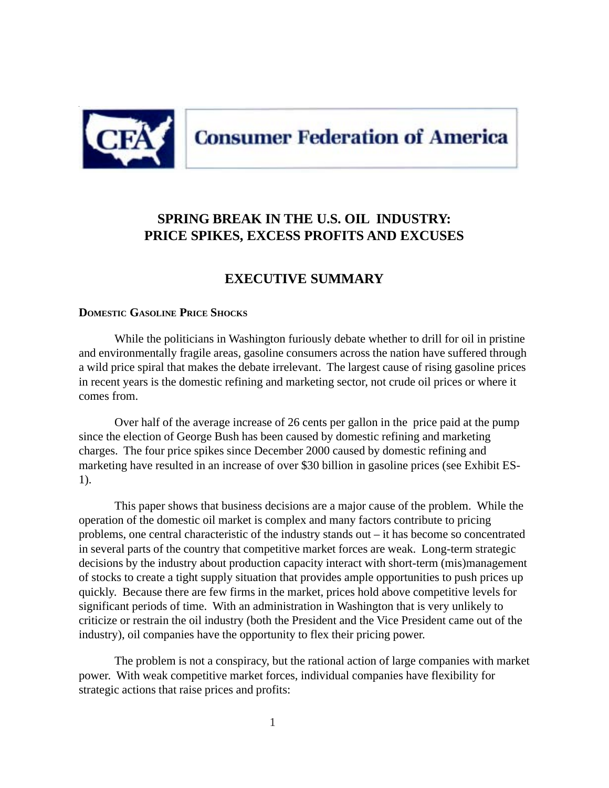<span id="page-3-0"></span>

## **SPRING BREAK IN THE U.S. OIL INDUSTRY: PRICE SPIKES, EXCESS PROFITS AND EXCUSES**

#### **EXECUTIVE SUMMARY**

#### **DOMESTIC GASOLINE PRICE SHOCKS**

While the politicians in Washington furiously debate whether to drill for oil in pristine and environmentally fragile areas, gasoline consumers across the nation have suffered through a wild price spiral that makes the debate irrelevant. The largest cause of rising gasoline prices in recent years is the domestic refining and marketing sector, not crude oil prices or where it comes from.

Over half of the average increase of 26 cents per gallon in the price paid at the pump since the election of George Bush has been caused by domestic refining and marketing charges. The four price spikes since December 2000 caused by domestic refining and marketing have resulted in an increase of over \$30 billion in gasoline prices (see Exhibit ES-1).

This paper shows that business decisions are a major cause of the problem. While the operation of the domestic oil market is complex and many factors contribute to pricing problems, one central characteristic of the industry stands out – it has become so concentrated in several parts of the country that competitive market forces are weak. Long-term strategic decisions by the industry about production capacity interact with short-term (mis)management of stocks to create a tight supply situation that provides ample opportunities to push prices up quickly. Because there are few firms in the market, prices hold above competitive levels for significant periods of time. With an administration in Washington that is very unlikely to criticize or restrain the oil industry (both the President and the Vice President came out of the industry), oil companies have the opportunity to flex their pricing power.

The problem is not a conspiracy, but the rational action of large companies with market power. With weak competitive market forces, individual companies have flexibility for strategic actions that raise prices and profits: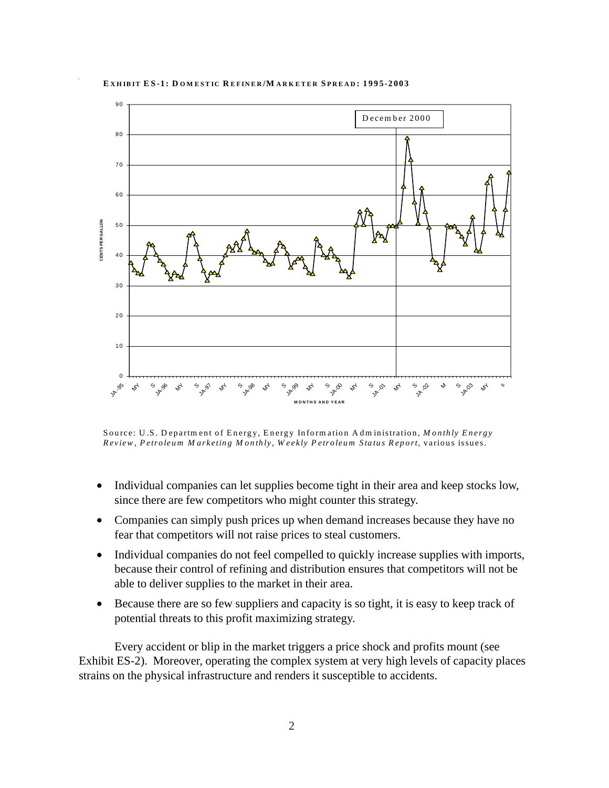#### **E XHIBIT ES-1: D OM ESTIC R EFINER /M ARKETER S PREAD : 1995-2003**



Source: U .S. D epartm ent of Energy, Energy Inform ation A dm inistration, *M onthly Energy Review , Petroleum M arketing M onthly, W eekly Petroleum Status Report,* various issues.

- Individual companies can let supplies become tight in their area and keep stocks low, since there are few competitors who might counter this strategy.
- Companies can simply push prices up when demand increases because they have no fear that competitors will not raise prices to steal customers.
- Individual companies do not feel compelled to quickly increase supplies with imports, because their control of refining and distribution ensures that competitors will not be able to deliver supplies to the market in their area.
- Because there are so few suppliers and capacity is so tight, it is easy to keep track of potential threats to this profit maximizing strategy.

Every accident or blip in the market triggers a price shock and profits mount (see Exhibit ES-2). Moreover, operating the complex system at very high levels of capacity places strains on the physical infrastructure and renders it susceptible to accidents.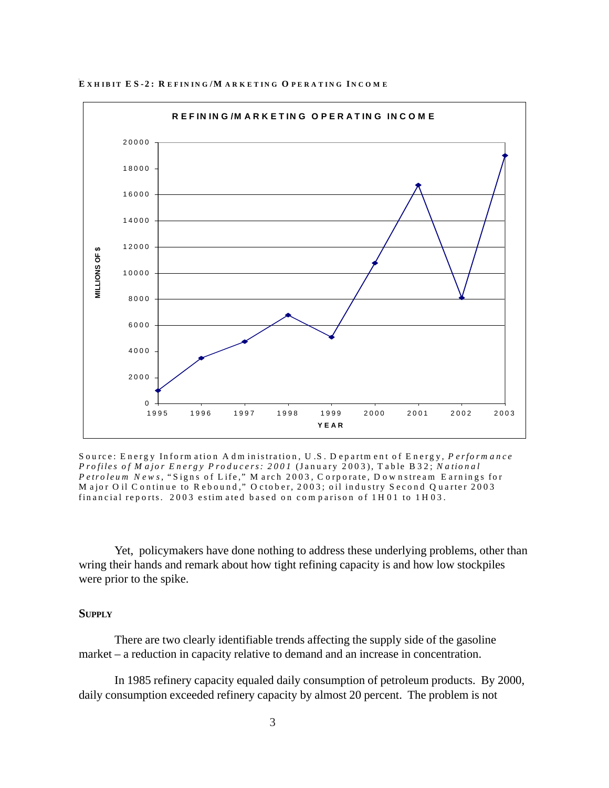

EXHIBIT ES-2: REFINING/MARKETING OPERATING INCOME

Source: Energy Information Administration, U.S. Department of Energy, Performance Profiles of Major Energy Producers: 2001 (January 2003), Table B32; National Petroleum News, "Signs of Life," M arch 2003, Corporate, Downstream Earnings for<br>M ajor Oil Continue to Rebound," October, 2003; oil industry Second Quarter 2003 financial reports. 2003 estimated based on comparison of 1H01 to 1H03.

Yet, policymakers have done nothing to address these underlying problems, other than wring their hands and remark about how tight refining capacity is and how low stockpiles were prior to the spike.

#### **SUPPLY**

There are two clearly identifiable trends affecting the supply side of the gasoline market – a reduction in capacity relative to demand and an increase in concentration.

In 1985 refinery capacity equaled daily consumption of petroleum products. By 2000, daily consumption exceeded refinery capacity by almost 20 percent. The problem is not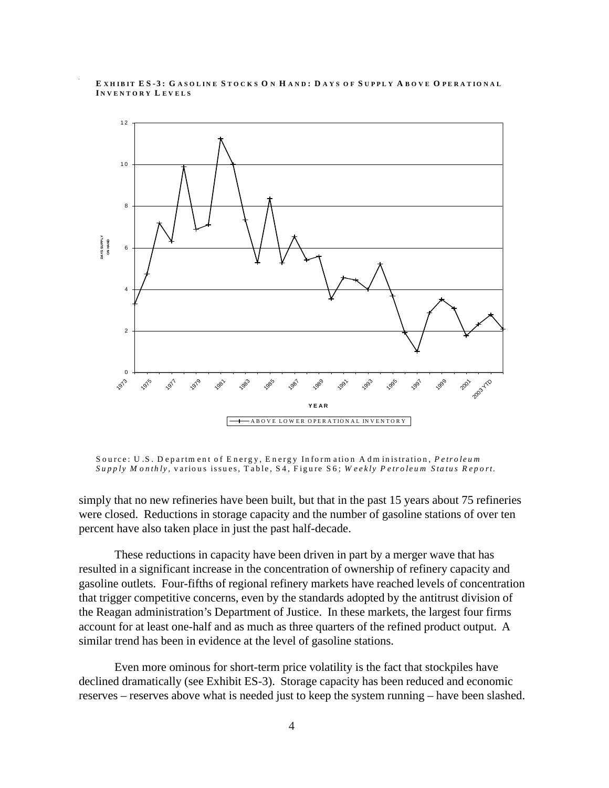#### **E XH IBIT ES-3: G ASOLIN E S TOCKS O N H AND : D AYS OF S UPPLY A BOVE O PERATIO NAL I NVENTORY L EVELS**



Source: U .S. D epartm ent of E nergy, E nergy Inform ation A dm inistration, *Petroleum Supply M onthly,* various issues, T able, S4, Figure S6; *W eekly P etroleum Status R eport.* 

simply that no new refineries have been built, but that in the past 15 years about 75 refineries were closed. Reductions in storage capacity and the number of gasoline stations of over ten percent have also taken place in just the past half-decade.

These reductions in capacity have been driven in part by a merger wave that has resulted in a significant increase in the concentration of ownership of refinery capacity and gasoline outlets. Four-fifths of regional refinery markets have reached levels of concentration that trigger competitive concerns, even by the standards adopted by the antitrust division of the Reagan administration's Department of Justice. In these markets, the largest four firms account for at least one-half and as much as three quarters of the refined product output. A similar trend has been in evidence at the level of gasoline stations.

Even more ominous for short-term price volatility is the fact that stockpiles have declined dramatically (see Exhibit ES-3). Storage capacity has been reduced and economic reserves – reserves above what is needed just to keep the system running – have been slashed.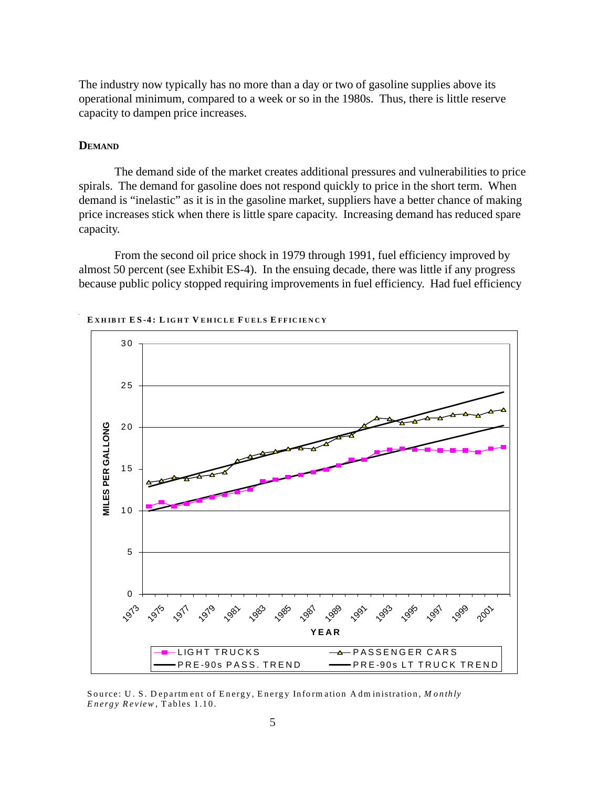The industry now typically has no more than a day or two of gasoline supplies above its operational minimum, compared to a week or so in the 1980s. Thus, there is little reserve capacity to dampen price increases.

#### **DEMAND**

The demand side of the market creates additional pressures and vulnerabilities to price spirals. The demand for gasoline does not respond quickly to price in the short term. When demand is "inelastic" as it is in the gasoline market, suppliers have a better chance of making price increases stick when there is little spare capacity. Increasing demand has reduced spare capacity.

From the second oil price shock in 1979 through 1991, fuel efficiency improved by almost 50 percent (see Exhibit ES-4). In the ensuing decade, there was little if any progress because public policy stopped requiring improvements in fuel efficiency. Had fuel efficiency



**E XHIBIT ES-4: L IGHT V EHICLE F UELS E FFICIENCY**

Source: U . S. D epartm ent of Energy, Energy Inform ation A dm inistration, *M onthly Energy Review* , Tables 1.10.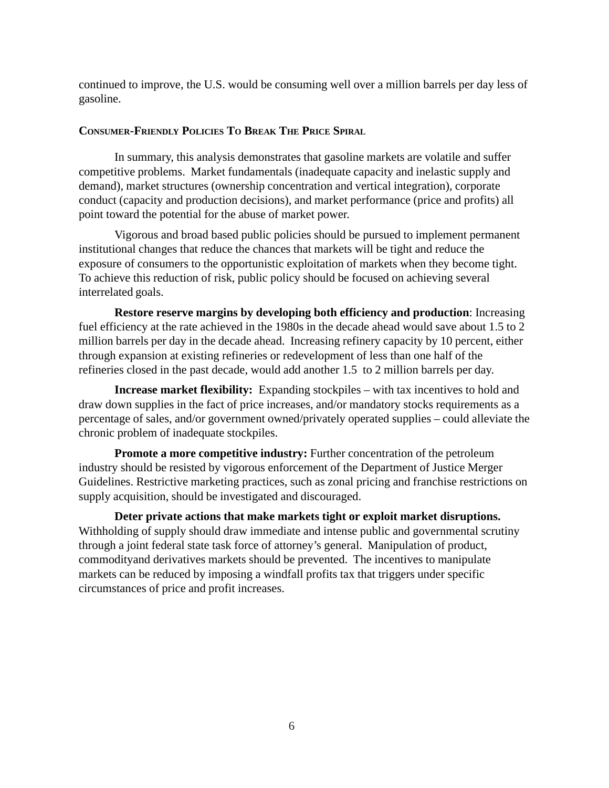<span id="page-8-0"></span>continued to improve, the U.S. would be consuming well over a million barrels per day less of gasoline.

#### **CONSUMER-FRIENDLY POLICIES TO BREAK THE PRICE SPIRAL**

In summary, this analysis demonstrates that gasoline markets are volatile and suffer competitive problems. Market fundamentals (inadequate capacity and inelastic supply and demand), market structures (ownership concentration and vertical integration), corporate conduct (capacity and production decisions), and market performance (price and profits) all point toward the potential for the abuse of market power.

Vigorous and broad based public policies should be pursued to implement permanent institutional changes that reduce the chances that markets will be tight and reduce the exposure of consumers to the opportunistic exploitation of markets when they become tight. To achieve this reduction of risk, public policy should be focused on achieving several interrelated goals.

**Restore reserve margins by developing both efficiency and production**: Increasing fuel efficiency at the rate achieved in the 1980s in the decade ahead would save about 1.5 to 2 million barrels per day in the decade ahead. Increasing refinery capacity by 10 percent, either through expansion at existing refineries or redevelopment of less than one half of the refineries closed in the past decade, would add another 1.5 to 2 million barrels per day.

**Increase market flexibility:** Expanding stockpiles – with tax incentives to hold and draw down supplies in the fact of price increases, and/or mandatory stocks requirements as a percentage of sales, and/or government owned/privately operated supplies – could alleviate the chronic problem of inadequate stockpiles.

**Promote a more competitive industry:** Further concentration of the petroleum industry should be resisted by vigorous enforcement of the Department of Justice Merger Guidelines. Restrictive marketing practices, such as zonal pricing and franchise restrictions on supply acquisition, should be investigated and discouraged.

**Deter private actions that make markets tight or exploit market disruptions.** Withholding of supply should draw immediate and intense public and governmental scrutiny through a joint federal state task force of attorney's general. Manipulation of product, commodityand derivatives markets should be prevented. The incentives to manipulate markets can be reduced by imposing a windfall profits tax that triggers under specific circumstances of price and profit increases.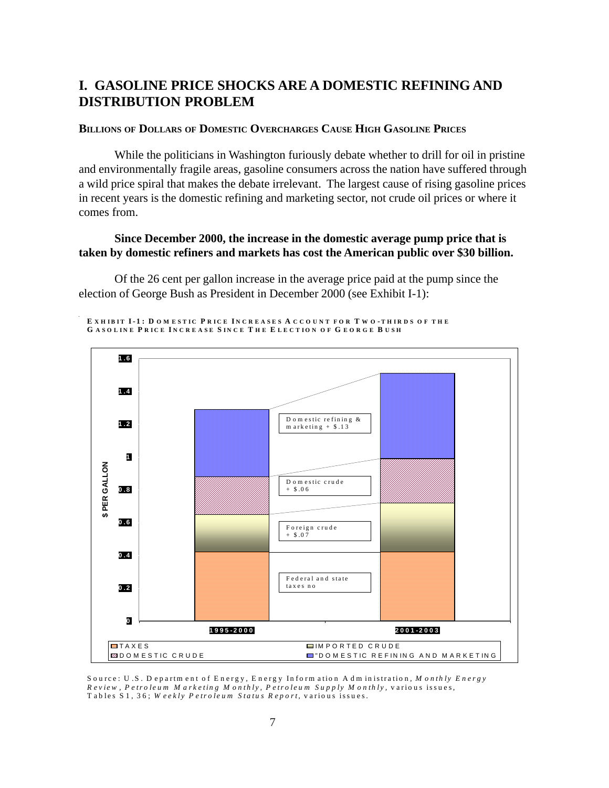## <span id="page-9-0"></span>**I. GASOLINE PRICE SHOCKS ARE A DOMESTIC REFINING AND DISTRIBUTION PROBLEM**

#### **BILLIONS OF DOLLARS OF DOMESTIC OVERCHARGES CAUSE HIGH GASOLINE PRICES**

While the politicians in Washington furiously debate whether to drill for oil in pristine and environmentally fragile areas, gasoline consumers across the nation have suffered through a wild price spiral that makes the debate irrelevant. The largest cause of rising gasoline prices in recent years is the domestic refining and marketing sector, not crude oil prices or where it comes from.

#### Since December 2000, the increase in the domestic average pump price that is taken by domestic refiners and markets has cost the American public over \$30 billion.

Of the 26 cent per gallon increase in the average price paid at the pump since the election of George Bush as President in December 2000 (see Exhibit I-1):

EXHIBIT I-1: DOMESTIC PRICE INCREASES A CCOUNT FOR TWO-THIRDS OF THE GASOLINE PRICE INCREASE SINCE THE ELECTION OF GEORGE BUSH



Source: U.S. Department of Energy, Energy Information Administration, Monthly Energy Review, Petroleum Marketing Monthly, Petroleum Supply Monthly, various issues, Tables S1, 36; Weekly Petroleum Status Report, various issues.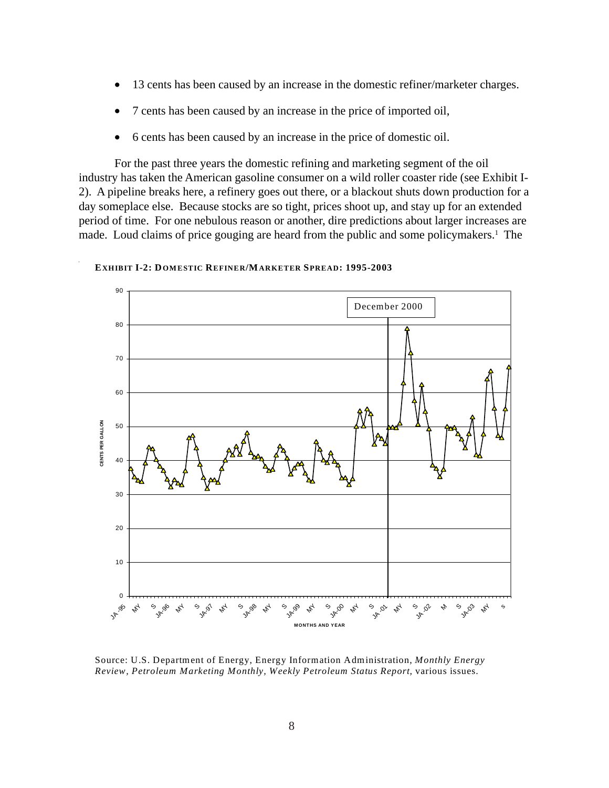- 13 cents has been caused by an increase in the domestic refiner/marketer charges.
- 7 cents has been caused by an increase in the price of imported oil,
- 6 cents has been caused by an increase in the price of domestic oil.

For the past three years the domestic refining and marketing segment of the oil industry has taken the American gasoline consumer on a wild roller coaster ride (see Exhibit I-2). A pipeline breaks here, a refinery goes out there, or a blackout shuts down production for a day someplace else. Because stocks are so tight, prices shoot up, and stay up for an extended period of time. For one nebulous reason or another, dire predictions about larger increases are made. Loud claims of price gouging are heard from the public and some policymakers.<sup>1</sup> The



**EXHIBIT I-2: DOMESTIC REFINER/MARKETER SPREAD: 1995-2003** 

Source: U.S. Department of Energy, Energy Information Administration, *Monthly Energy Review, Petroleum Marketing Monthly, Weekly Petroleum Status Report,* various issues.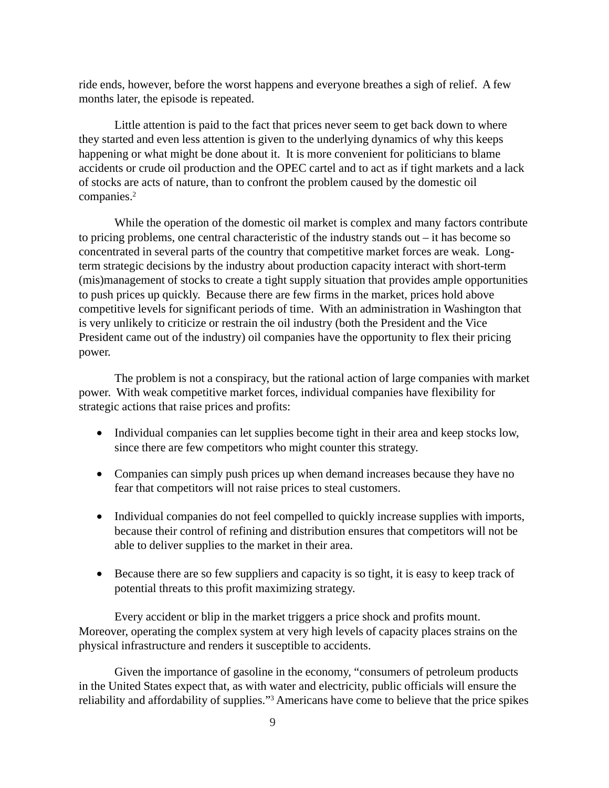ride ends, however, before the worst happens and everyone breathes a sigh of relief. A few months later, the episode is repeated.

Little attention is paid to the fact that prices never seem to get back down to where they started and even less attention is given to the underlying dynamics of why this keeps happening or what might be done about it. It is more convenient for politicians to blame accidents or crude oil production and the OPEC cartel and to act as if tight markets and a lack of stocks are acts of nature, than to confront the problem caused by the domestic oil companies.<sup>2</sup>

While the operation of the domestic oil market is complex and many factors contribute to pricing problems, one central characteristic of the industry stands out – it has become so concentrated in several parts of the country that competitive market forces are weak. Longterm strategic decisions by the industry about production capacity interact with short-term (mis)management of stocks to create a tight supply situation that provides ample opportunities to push prices up quickly. Because there are few firms in the market, prices hold above competitive levels for significant periods of time. With an administration in Washington that is very unlikely to criticize or restrain the oil industry (both the President and the Vice President came out of the industry) oil companies have the opportunity to flex their pricing power.

The problem is not a conspiracy, but the rational action of large companies with market power. With weak competitive market forces, individual companies have flexibility for strategic actions that raise prices and profits:

- Individual companies can let supplies become tight in their area and keep stocks low, since there are few competitors who might counter this strategy.
- Companies can simply push prices up when demand increases because they have no fear that competitors will not raise prices to steal customers.
- Individual companies do not feel compelled to quickly increase supplies with imports, because their control of refining and distribution ensures that competitors will not be able to deliver supplies to the market in their area.
- Because there are so few suppliers and capacity is so tight, it is easy to keep track of potential threats to this profit maximizing strategy.

Every accident or blip in the market triggers a price shock and profits mount. Moreover, operating the complex system at very high levels of capacity places strains on the physical infrastructure and renders it susceptible to accidents.

Given the importance of gasoline in the economy, "consumers of petroleum products in the United States expect that, as with water and electricity, public officials will ensure the reliability and affordability of supplies."<sup>3</sup> Americans have come to believe that the price spikes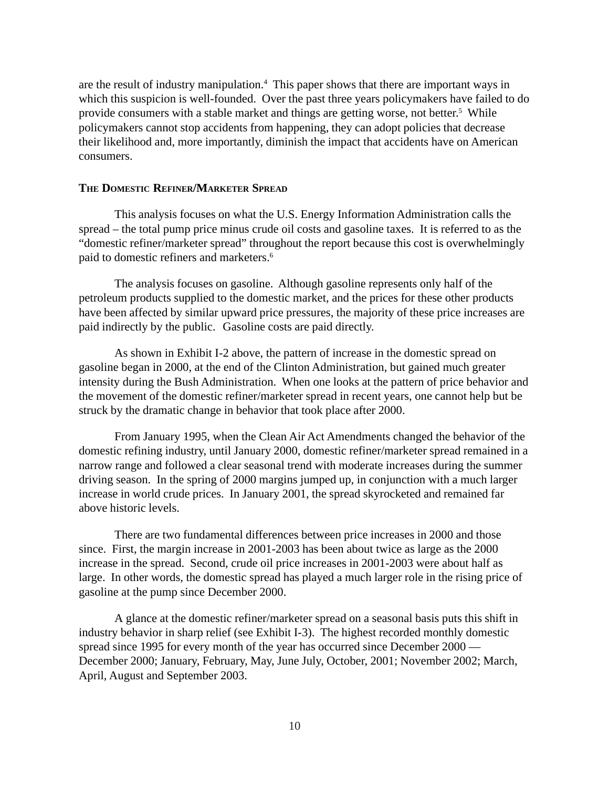<span id="page-12-0"></span>are the result of industry manipulation.<sup>4</sup> This paper shows that there are important ways in which this suspicion is well-founded. Over the past three years policymakers have failed to do provide consumers with a stable market and things are getting worse, not better.<sup>5</sup> While policymakers cannot stop accidents from happening, they can adopt policies that decrease their likelihood and, more importantly, diminish the impact that accidents have on American consumers.

#### **THE DOMESTIC REFINER/MARKETER SPREAD**

This analysis focuses on what the U.S. Energy Information Administration calls the spread – the total pump price minus crude oil costs and gasoline taxes. It is referred to as the "domestic refiner/marketer spread" throughout the report because this cost is overwhelmingly paid to domestic refiners and marketers.6

The analysis focuses on gasoline. Although gasoline represents only half of the petroleum products supplied to the domestic market, and the prices for these other products have been affected by similar upward price pressures, the majority of these price increases are paid indirectly by the public. Gasoline costs are paid directly.

As shown in Exhibit I-2 above, the pattern of increase in the domestic spread on gasoline began in 2000, at the end of the Clinton Administration, but gained much greater intensity during the Bush Administration. When one looks at the pattern of price behavior and the movement of the domestic refiner/marketer spread in recent years, one cannot help but be struck by the dramatic change in behavior that took place after 2000.

From January 1995, when the Clean Air Act Amendments changed the behavior of the domestic refining industry, until January 2000, domestic refiner/marketer spread remained in a narrow range and followed a clear seasonal trend with moderate increases during the summer driving season. In the spring of 2000 margins jumped up, in conjunction with a much larger increase in world crude prices. In January 2001, the spread skyrocketed and remained far above historic levels.

There are two fundamental differences between price increases in 2000 and those since. First, the margin increase in 2001-2003 has been about twice as large as the 2000 increase in the spread. Second, crude oil price increases in 2001-2003 were about half as large. In other words, the domestic spread has played a much larger role in the rising price of gasoline at the pump since December 2000.

A glance at the domestic refiner/marketer spread on a seasonal basis puts this shift in industry behavior in sharp relief (see Exhibit I-3). The highest recorded monthly domestic spread since 1995 for every month of the year has occurred since December 2000 — December 2000; January, February, May, June July, October, 2001; November 2002; March, April, August and September 2003.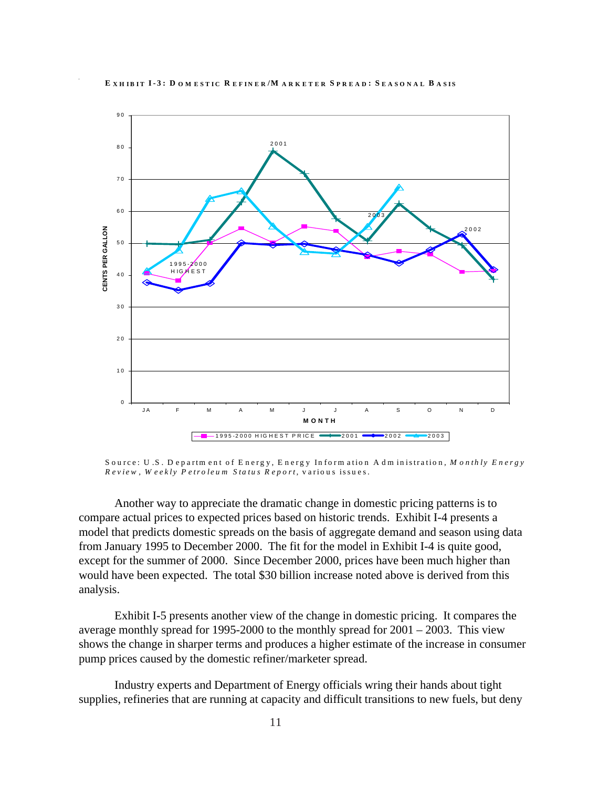

Source: U.S. Department of Energy, Energy Information Administration, Monthly Energy Review, Weekly Petroleum Status Report, various issues.

Another way to appreciate the dramatic change in domestic pricing patterns is to compare actual prices to expected prices based on historic trends. Exhibit I-4 presents a model that predicts domestic spreads on the basis of aggregate demand and season using data from January 1995 to December 2000. The fit for the model in Exhibit I-4 is quite good, except for the summer of 2000. Since December 2000, prices have been much higher than would have been expected. The total \$30 billion increase noted above is derived from this analysis.

Exhibit I-5 presents another view of the change in domestic pricing. It compares the average monthly spread for 1995-2000 to the monthly spread for  $2001 - 2003$ . This view shows the change in sharper terms and produces a higher estimate of the increase in consumer pump prices caused by the domestic refiner/marketer spread.

Industry experts and Department of Energy officials wring their hands about tight supplies, refineries that are running at capacity and difficult transitions to new fuels, but deny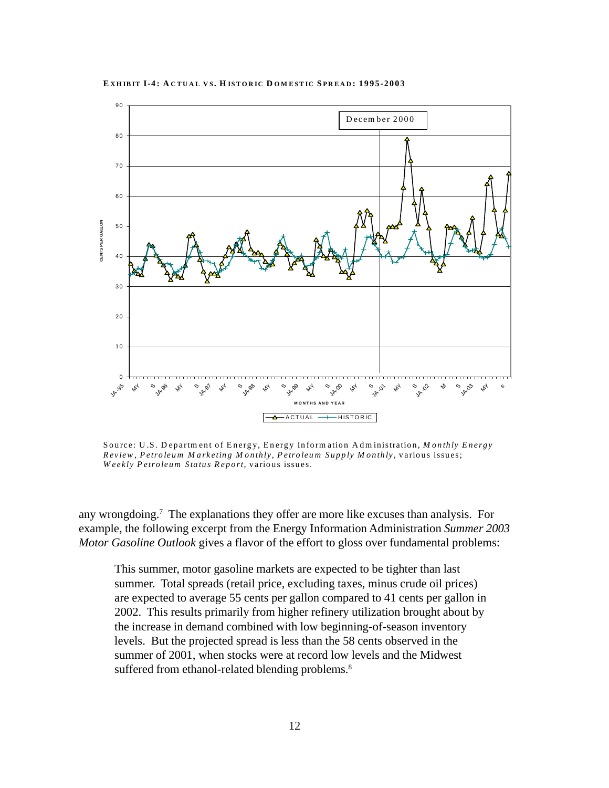#### **E XHIBIT I-4: A CTUAL VS. H ISTORIC D OM ESTIC S PREAD : 1995-2003**



Source: U .S. D epartm ent of Energy, Energy Inform ation A dm inistration, *M onthly Energy Review , Petroleum M arketing M onthly, Petroleum Supply M onthly,* various issues; *W eekly Petroleum Status Report,* various issues.

any wrongdoing.7 The explanations they offer are more like excuses than analysis. For example, the following excerpt from the Energy Information Administration *Summer 2003 Motor Gasoline Outlook* gives a flavor of the effort to gloss over fundamental problems:

This summer, motor gasoline markets are expected to be tighter than last summer. Total spreads (retail price, excluding taxes, minus crude oil prices) are expected to average 55 cents per gallon compared to 41 cents per gallon in 2002. This results primarily from higher refinery utilization brought about by the increase in demand combined with low beginning-of-season inventory levels. But the projected spread is less than the 58 cents observed in the summer of 2001, when stocks were at record low levels and the Midwest suffered from ethanol-related blending problems.<sup>8</sup>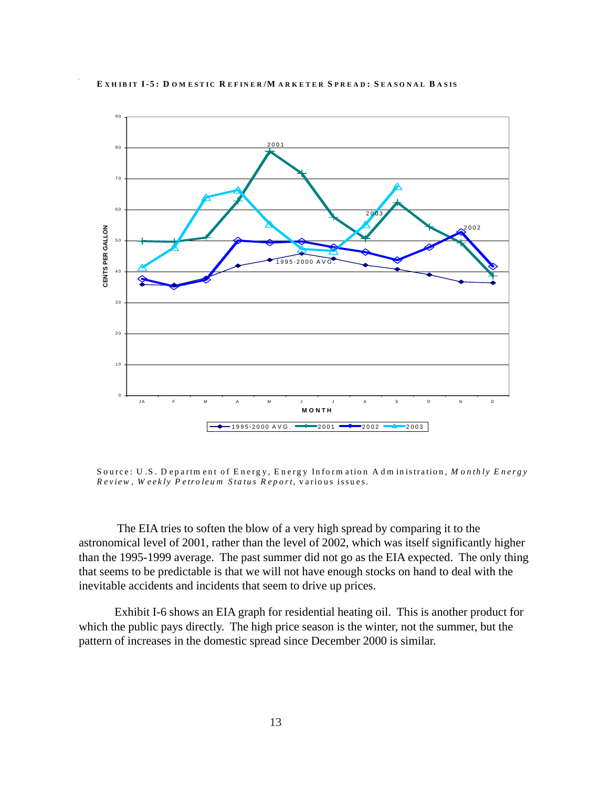<span id="page-15-0"></span>

Source: U.S. Department of Energy, Energy Information Administration, Monthly Energy Review, Weekly Petroleum Status Report, various issues.

The EIA tries to soften the blow of a very high spread by comparing it to the astronomical level of 2001, rather than the level of 2002, which was itself significantly higher than the 1995-1999 average. The past summer did not go as the EIA expected. The only thing that seems to be predictable is that we will not have enough stocks on hand to deal with the inevitable accidents and incidents that seem to drive up prices.

Exhibit I-6 shows an EIA graph for residential heating oil. This is another product for which the public pays directly. The high price season is the winter, not the summer, but the pattern of increases in the domestic spread since December 2000 is similar.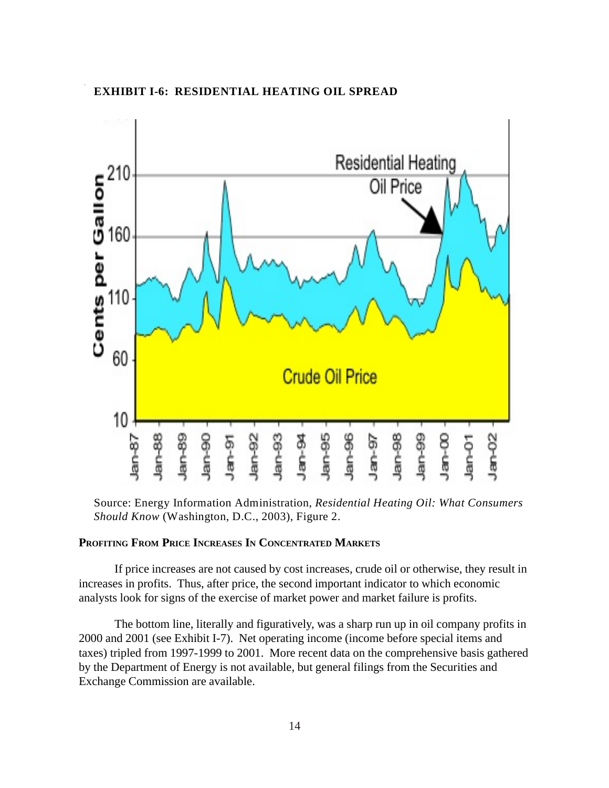#### **EXHIBIT I-6: RESIDENTIAL HEATING OIL SPREAD**



Source: Energy Information Administration, *Residential Heating Oil: What Consumers Should Know* (Washington, D.C., 2003), Figure 2.

#### **PROFITING FROM PRICE INCREASES IN CONCENTRATED MARKETS**

If price increases are not caused by cost increases, crude oil or otherwise, they result in increases in profits. Thus, after price, the second important indicator to which economic analysts look for signs of the exercise of market power and market failure is profits.

The bottom line, literally and figuratively, was a sharp run up in oil company profits in 2000 and 2001 (see Exhibit I-7). Net operating income (income before special items and taxes) tripled from 1997-1999 to 2001. More recent data on the comprehensive basis gathered by the Department of Energy is not available, but general filings from the Securities and Exchange Commission are available.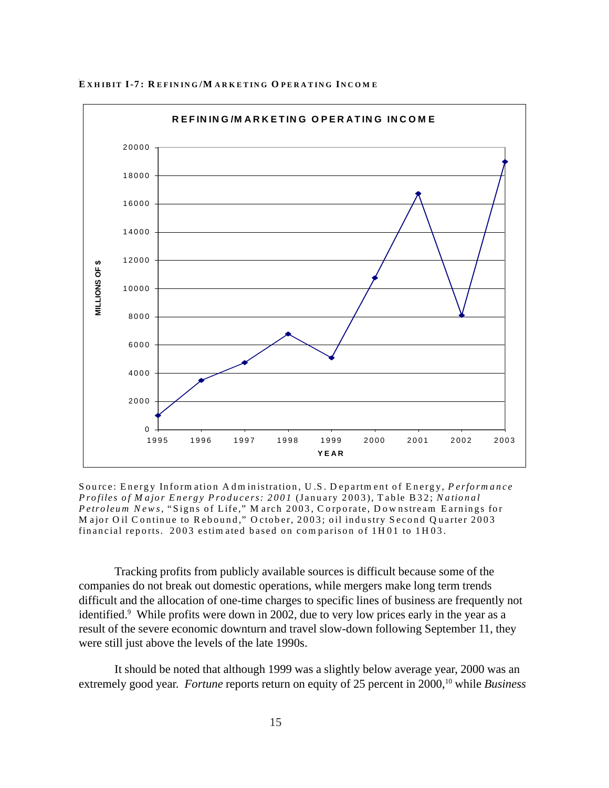

EXHIBIT I-7: REFINING/MARKETING OPERATING INCOME

Source: Energy Information Administration, U.S. Department of Energy, Performance Profiles of Major Energy Producers: 2001 (January 2003), Table B32; National Petroleum News, "Signs of Life," March 2003, Corporate, Downstream Earnings for Major Oil Continue to Rebound," October, 2003; oil industry Second Quarter 2003 financial reports. 2003 estimated based on comparison of 1H01 to 1H03.

Tracking profits from publicly available sources is difficult because some of the companies do not break out domestic operations, while mergers make long term trends difficult and the allocation of one-time charges to specific lines of business are frequently not identified.<sup>9</sup> While profits were down in 2002, due to very low prices early in the year as a result of the severe economic downturn and travel slow-down following September 11, they were still just above the levels of the late 1990s.

It should be noted that although 1999 was a slightly below average year, 2000 was an extremely good year. Fortune reports return on equity of 25 percent in 2000,<sup>10</sup> while Business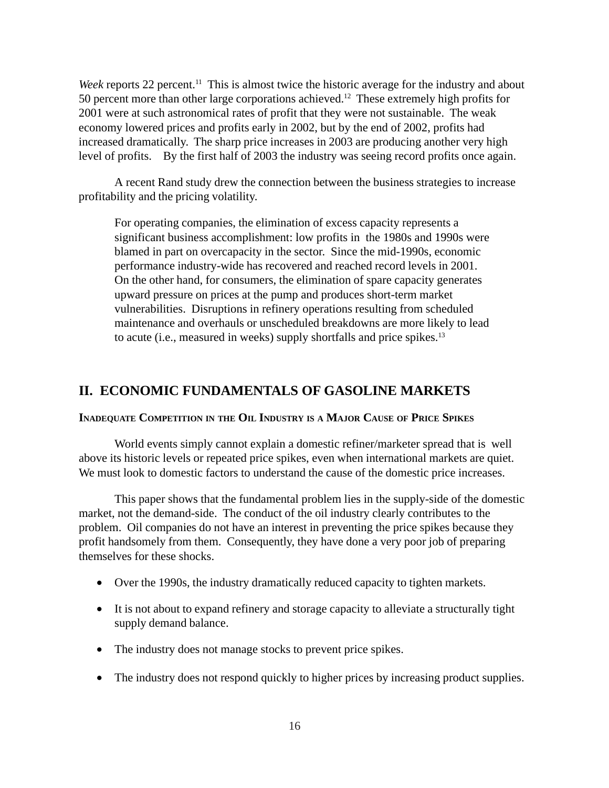<span id="page-18-0"></span>*Week* reports 22 percent.<sup>11</sup> This is almost twice the historic average for the industry and about 50 percent more than other large corporations achieved.12 These extremely high profits for 2001 were at such astronomical rates of profit that they were not sustainable. The weak economy lowered prices and profits early in 2002, but by the end of 2002, profits had increased dramatically. The sharp price increases in 2003 are producing another very high level of profits. By the first half of 2003 the industry was seeing record profits once again.

A recent Rand study drew the connection between the business strategies to increase profitability and the pricing volatility.

For operating companies, the elimination of excess capacity represents a significant business accomplishment: low profits in the 1980s and 1990s were blamed in part on overcapacity in the sector. Since the mid-1990s, economic performance industry-wide has recovered and reached record levels in 2001. On the other hand, for consumers, the elimination of spare capacity generates upward pressure on prices at the pump and produces short-term market vulnerabilities. Disruptions in refinery operations resulting from scheduled maintenance and overhauls or unscheduled breakdowns are more likely to lead to acute (i.e., measured in weeks) supply shortfalls and price spikes.13

#### **II. ECONOMIC FUNDAMENTALS OF GASOLINE MARKETS**

#### **INADEQUATE COMPETITION IN THE OIL INDUSTRY IS A MAJOR CAUSE OF PRICE SPIKES**

World events simply cannot explain a domestic refiner/marketer spread that is well above its historic levels or repeated price spikes, even when international markets are quiet. We must look to domestic factors to understand the cause of the domestic price increases.

This paper shows that the fundamental problem lies in the supply-side of the domestic market, not the demand-side. The conduct of the oil industry clearly contributes to the problem. Oil companies do not have an interest in preventing the price spikes because they profit handsomely from them. Consequently, they have done a very poor job of preparing themselves for these shocks.

- Over the 1990s, the industry dramatically reduced capacity to tighten markets.
- It is not about to expand refinery and storage capacity to alleviate a structurally tight supply demand balance.
- The industry does not manage stocks to prevent price spikes.
- The industry does not respond quickly to higher prices by increasing product supplies.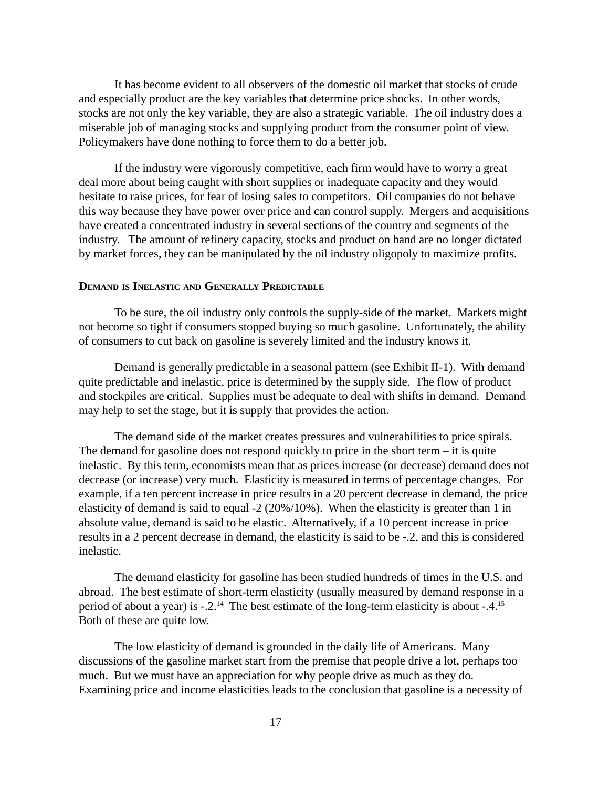<span id="page-19-0"></span>It has become evident to all observers of the domestic oil market that stocks of crude and especially product are the key variables that determine price shocks. In other words, stocks are not only the key variable, they are also a strategic variable. The oil industry does a miserable job of managing stocks and supplying product from the consumer point of view. Policymakers have done nothing to force them to do a better job.

If the industry were vigorously competitive, each firm would have to worry a great deal more about being caught with short supplies or inadequate capacity and they would hesitate to raise prices, for fear of losing sales to competitors. Oil companies do not behave this way because they have power over price and can control supply. Mergers and acquisitions have created a concentrated industry in several sections of the country and segments of the industry. The amount of refinery capacity, stocks and product on hand are no longer dictated by market forces, they can be manipulated by the oil industry oligopoly to maximize profits.

#### **DEMAND IS INELASTIC AND GENERALLY PREDICTABLE**

To be sure, the oil industry only controls the supply-side of the market. Markets might not become so tight if consumers stopped buying so much gasoline. Unfortunately, the ability of consumers to cut back on gasoline is severely limited and the industry knows it.

Demand is generally predictable in a seasonal pattern (see Exhibit II-1). With demand quite predictable and inelastic, price is determined by the supply side. The flow of product and stockpiles are critical. Supplies must be adequate to deal with shifts in demand. Demand may help to set the stage, but it is supply that provides the action.

The demand side of the market creates pressures and vulnerabilities to price spirals. The demand for gasoline does not respond quickly to price in the short term – it is quite inelastic. By this term, economists mean that as prices increase (or decrease) demand does not decrease (or increase) very much. Elasticity is measured in terms of percentage changes. For example, if a ten percent increase in price results in a 20 percent decrease in demand, the price elasticity of demand is said to equal -2 (20%/10%). When the elasticity is greater than 1 in absolute value, demand is said to be elastic. Alternatively, if a 10 percent increase in price results in a 2 percent decrease in demand, the elasticity is said to be -.2, and this is considered inelastic.

The demand elasticity for gasoline has been studied hundreds of times in the U.S. and abroad. The best estimate of short-term elasticity (usually measured by demand response in a period of about a year) is -.2.14 The best estimate of the long-term elasticity is about -.4.15 Both of these are quite low.

The low elasticity of demand is grounded in the daily life of Americans. Many discussions of the gasoline market start from the premise that people drive a lot, perhaps too much. But we must have an appreciation for why people drive as much as they do. Examining price and income elasticities leads to the conclusion that gasoline is a necessity of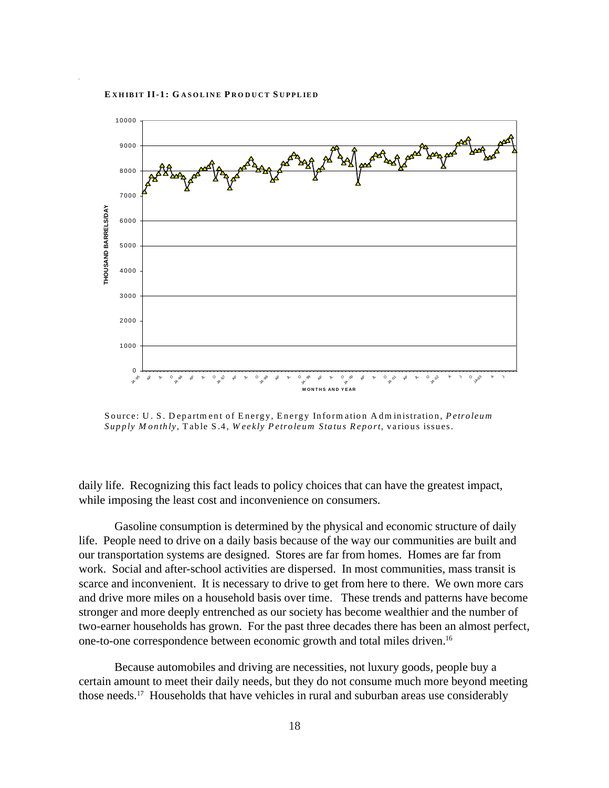

Source: U. S. Departm ent of Energy, Energy Inform ation Adm inistration, *Petroleum Supply M onthly*, Table S.4, *W eekly Petroleum Status Report,* various issues.

daily life. Recognizing this fact leads to policy choices that can have the greatest impact, while imposing the least cost and inconvenience on consumers.

Gasoline consumption is determined by the physical and economic structure of daily life. People need to drive on a daily basis because of the way our communities are built and our transportation systems are designed. Stores are far from homes. Homes are far from work. Social and after-school activities are dispersed. In most communities, mass transit is scarce and inconvenient. It is necessary to drive to get from here to there. We own more cars and drive more miles on a household basis over time. These trends and patterns have become stronger and more deeply entrenched as our society has become wealthier and the number of two-earner households has grown. For the past three decades there has been an almost perfect, one-to-one correspondence between economic growth and total miles driven.16

Because automobiles and driving are necessities, not luxury goods, people buy a certain amount to meet their daily needs, but they do not consume much more beyond meeting those needs.17 Households that have vehicles in rural and suburban areas use considerably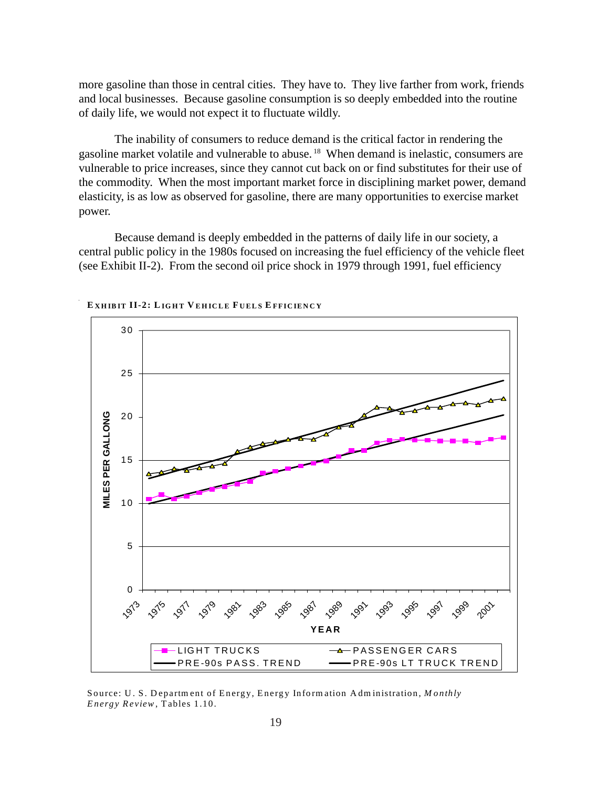more gasoline than those in central cities. They have to. They live farther from work, friends and local businesses. Because gasoline consumption is so deeply embedded into the routine of daily life, we would not expect it to fluctuate wildly.

The inability of consumers to reduce demand is the critical factor in rendering the gasoline market volatile and vulnerable to abuse. 18 When demand is inelastic, consumers are vulnerable to price increases, since they cannot cut back on or find substitutes for their use of the commodity. When the most important market force in disciplining market power, demand elasticity, is as low as observed for gasoline, there are many opportunities to exercise market power.

Because demand is deeply embedded in the patterns of daily life in our society, a central public policy in the 1980s focused on increasing the fuel efficiency of the vehicle fleet (see Exhibit II-2). From the second oil price shock in 1979 through 1991, fuel efficiency



**E XHIBIT II-2: L IGHT V EHICLE F UELS E FFICIENCY**

Source: U . S. Departm ent of Energy, Energy Inform ation Adm inistration, *M onthly Energy Review* , Tables 1.10.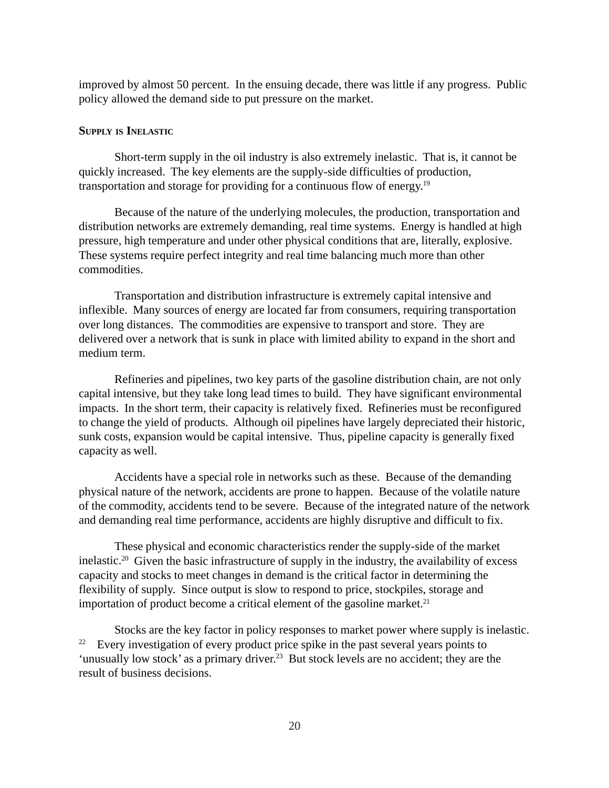<span id="page-22-0"></span>improved by almost 50 percent. In the ensuing decade, there was little if any progress. Public policy allowed the demand side to put pressure on the market.

#### **SUPPLY IS INELASTIC**

Short-term supply in the oil industry is also extremely inelastic. That is, it cannot be quickly increased. The key elements are the supply-side difficulties of production, transportation and storage for providing for a continuous flow of energy.19

Because of the nature of the underlying molecules, the production, transportation and distribution networks are extremely demanding, real time systems. Energy is handled at high pressure, high temperature and under other physical conditions that are, literally, explosive. These systems require perfect integrity and real time balancing much more than other commodities.

Transportation and distribution infrastructure is extremely capital intensive and inflexible. Many sources of energy are located far from consumers, requiring transportation over long distances. The commodities are expensive to transport and store. They are delivered over a network that is sunk in place with limited ability to expand in the short and medium term.

Refineries and pipelines, two key parts of the gasoline distribution chain, are not only capital intensive, but they take long lead times to build. They have significant environmental impacts. In the short term, their capacity is relatively fixed. Refineries must be reconfigured to change the yield of products. Although oil pipelines have largely depreciated their historic, sunk costs, expansion would be capital intensive. Thus, pipeline capacity is generally fixed capacity as well.

Accidents have a special role in networks such as these. Because of the demanding physical nature of the network, accidents are prone to happen. Because of the volatile nature of the commodity, accidents tend to be severe. Because of the integrated nature of the network and demanding real time performance, accidents are highly disruptive and difficult to fix.

These physical and economic characteristics render the supply-side of the market inelastic.<sup>20</sup> Given the basic infrastructure of supply in the industry, the availability of excess capacity and stocks to meet changes in demand is the critical factor in determining the flexibility of supply. Since output is slow to respond to price, stockpiles, storage and importation of product become a critical element of the gasoline market. $21$ 

Stocks are the key factor in policy responses to market power where supply is inelastic. <sup>22</sup> Every investigation of every product price spike in the past several years points to 'unusually low stock' as a primary driver.<sup>23</sup> But stock levels are no accident; they are the result of business decisions.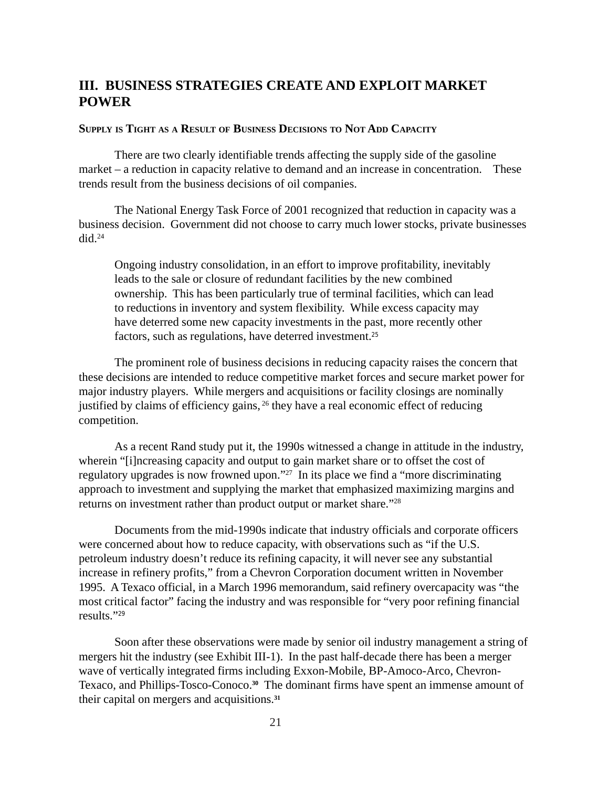#### <span id="page-23-0"></span>**III. BUSINESS STRATEGIES CREATE AND EXPLOIT MARKET POWER**

#### **SUPPLY IS TIGHT AS A RESULT OF BUSINESS DECISIONS TO NOT ADD CAPACITY**

There are two clearly identifiable trends affecting the supply side of the gasoline market – a reduction in capacity relative to demand and an increase in concentration. These trends result from the business decisions of oil companies.

The National Energy Task Force of 2001 recognized that reduction in capacity was a business decision. Government did not choose to carry much lower stocks, private businesses  $did.<sup>24</sup>$ 

Ongoing industry consolidation, in an effort to improve profitability, inevitably leads to the sale or closure of redundant facilities by the new combined ownership. This has been particularly true of terminal facilities, which can lead to reductions in inventory and system flexibility. While excess capacity may have deterred some new capacity investments in the past, more recently other factors, such as regulations, have deterred investment.<sup>25</sup>

The prominent role of business decisions in reducing capacity raises the concern that these decisions are intended to reduce competitive market forces and secure market power for major industry players. While mergers and acquisitions or facility closings are nominally justified by claims of efficiency gains, 26 they have a real economic effect of reducing competition.

As a recent Rand study put it, the 1990s witnessed a change in attitude in the industry, wherein "[i]ncreasing capacity and output to gain market share or to offset the cost of regulatory upgrades is now frowned upon."<sup>27</sup> In its place we find a "more discriminating approach to investment and supplying the market that emphasized maximizing margins and returns on investment rather than product output or market share."28

Documents from the mid-1990s indicate that industry officials and corporate officers were concerned about how to reduce capacity, with observations such as "if the U.S. petroleum industry doesn't reduce its refining capacity, it will never see any substantial increase in refinery profits," from a Chevron Corporation document written in November 1995. A Texaco official, in a March 1996 memorandum, said refinery overcapacity was "the most critical factor" facing the industry and was responsible for "very poor refining financial results."<sup>29</sup>

Soon after these observations were made by senior oil industry management a string of mergers hit the industry (see Exhibit III-1). In the past half-decade there has been a merger wave of vertically integrated firms including Exxon-Mobile, BP-Amoco-Arco, Chevron-Texaco, and Phillips-Tosco-Conoco.**30** The dominant firms have spent an immense amount of their capital on mergers and acquisitions.**31**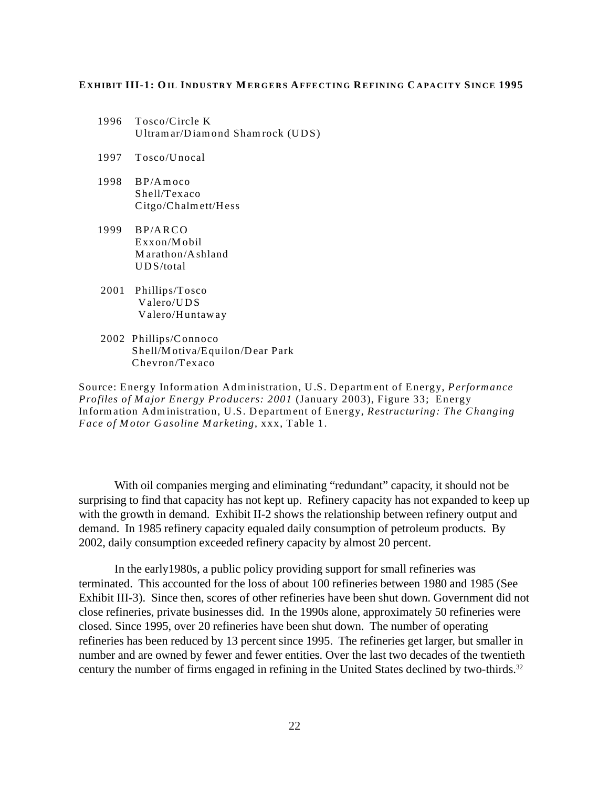#### **E XHIBIT III-1: OIL INDUSTRY M ERGERS AFFECTING REFINING C APACITY SINCE 1995**

- 1996 Tosco/Circle K Ultramar/Diamond Shamrock (UDS)
- 1997 Tosco/Unocal
- 1998 BP/Amoco Shell/Texaco Citgo/Chalmett/Hess
- 1999 BP/ARCO Exxon/Mobil Marathon/Ashland UDS/total
- 2001 Phillips/Tosco Valero/UDS Valero/Huntaway
- 2002 Phillips/Connoco Shell/Motiva/Equilon/Dear Park Chevron/Texaco

Source: Energy Information Administration, U.S. Department of Energy, *Performance Profiles of Major Energy Producers: 2001* (January 2003), Figure 33; Energy Information Administration, U.S. Department of Energy, *Restructuring: The Changing Face of Motor Gasoline Marketing*, xxx, Table 1.

With oil companies merging and eliminating "redundant" capacity, it should not be surprising to find that capacity has not kept up. Refinery capacity has not expanded to keep up with the growth in demand. Exhibit II-2 shows the relationship between refinery output and demand. In 1985 refinery capacity equaled daily consumption of petroleum products. By 2002, daily consumption exceeded refinery capacity by almost 20 percent.

In the early1980s, a public policy providing support for small refineries was terminated. This accounted for the loss of about 100 refineries between 1980 and 1985 (See Exhibit III-3). Since then, scores of other refineries have been shut down. Government did not close refineries, private businesses did. In the 1990s alone, approximately 50 refineries were closed. Since 1995, over 20 refineries have been shut down. The number of operating refineries has been reduced by 13 percent since 1995. The refineries get larger, but smaller in number and are owned by fewer and fewer entities. Over the last two decades of the twentieth century the number of firms engaged in refining in the United States declined by two-thirds.<sup>32</sup>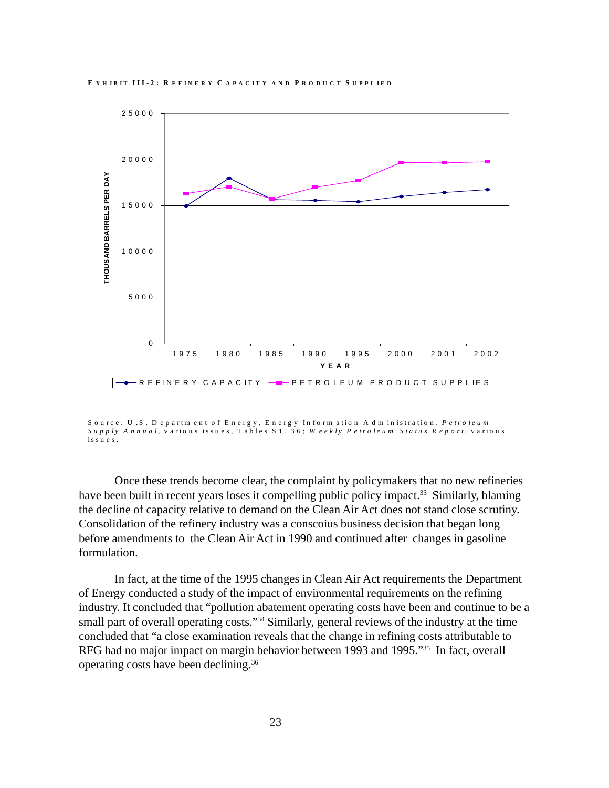



S o u rce: U .S . D e p a rtm en t o f E n erg y , E n erg y In fo rm atio n A d m in istratio n , *P etro leu m S u p p ly A n n u a l,* v ario u s issu es, T ab les S 1 , 3 6 ; *W ee k ly P etro leu m S ta tu s R ep o rt,* v ario u s issu es.

Once these trends become clear, the complaint by policymakers that no new refineries have been built in recent years loses it compelling public policy impact.<sup>33</sup> Similarly, blaming the decline of capacity relative to demand on the Clean Air Act does not stand close scrutiny. Consolidation of the refinery industry was a conscoius business decision that began long before amendments to the Clean Air Act in 1990 and continued after changes in gasoline formulation.

In fact, at the time of the 1995 changes in Clean Air Act requirements the Department of Energy conducted a study of the impact of environmental requirements on the refining industry. It concluded that "pollution abatement operating costs have been and continue to be a small part of overall operating costs."<sup>34</sup> Similarly, general reviews of the industry at the time concluded that "a close examination reveals that the change in refining costs attributable to RFG had no major impact on margin behavior between 1993 and 1995."<sup>35</sup> In fact, overall operating costs have been declining.36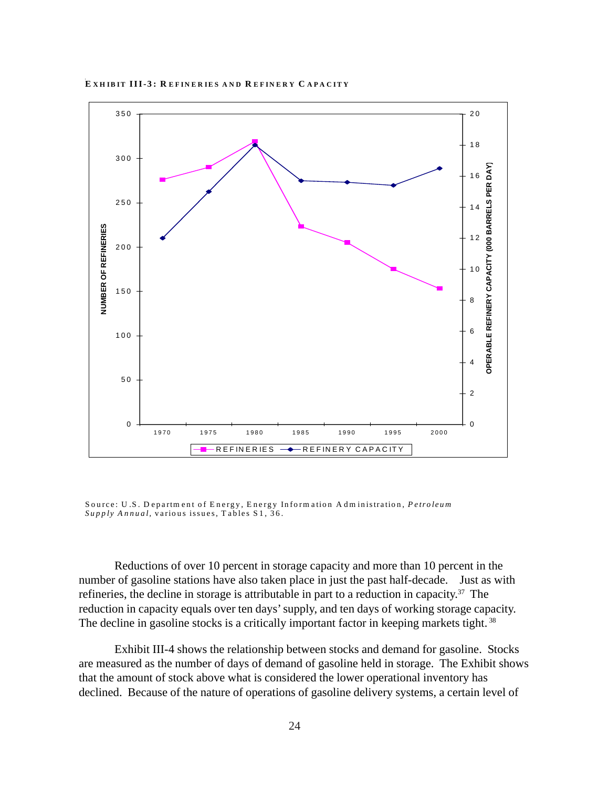

**E XHIBIT III-3: R EFINER IES AND R EFINERY C APA CITY**

Source: U .S. D epartm ent of Energy, Energy Inform ation A dm inistration, *Petroleum Supply Annual,* various issues, T ables S1, 36.

Reductions of over 10 percent in storage capacity and more than 10 percent in the number of gasoline stations have also taken place in just the past half-decade. Just as with refineries, the decline in storage is attributable in part to a reduction in capacity.37 The reduction in capacity equals over ten days' supply, and ten days of working storage capacity. The decline in gasoline stocks is a critically important factor in keeping markets tight.<sup>38</sup>

Exhibit III-4 shows the relationship between stocks and demand for gasoline. Stocks are measured as the number of days of demand of gasoline held in storage. The Exhibit shows that the amount of stock above what is considered the lower operational inventory has declined. Because of the nature of operations of gasoline delivery systems, a certain level of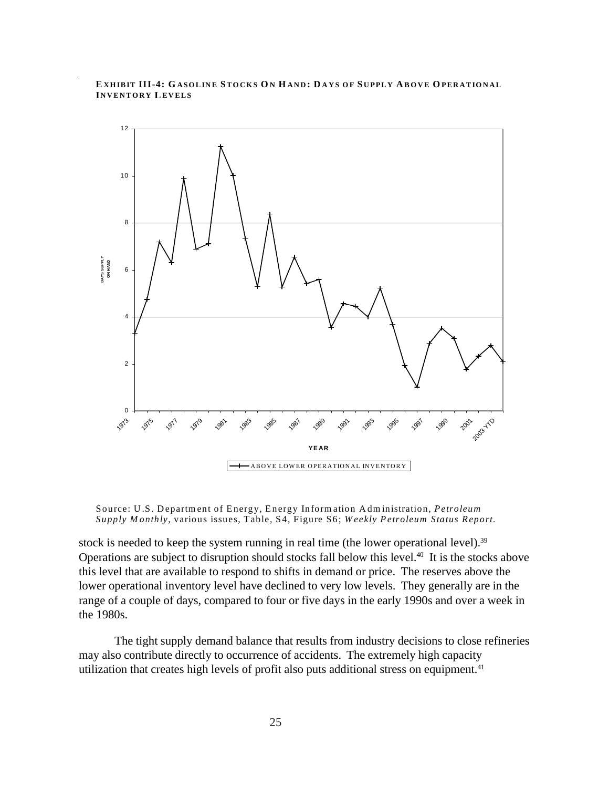#### **E XHIBIT III-4: G ASOLINE STOCKS O N H AND : D AYS OF S UPPLY A BOVE O PERATIONAL INVENTORY LEVELS**



Source: U.S. Department of Energy, Energy Information Administration, *Petroleum Supply Monthly,* various issues, Table, S4, Figure S6; *Weekly Petroleum Status Report.* 

stock is needed to keep the system running in real time (the lower operational level).<sup>39</sup> Operations are subject to disruption should stocks fall below this level.<sup>40</sup> It is the stocks above this level that are available to respond to shifts in demand or price. The reserves above the lower operational inventory level have declined to very low levels. They generally are in the range of a couple of days, compared to four or five days in the early 1990s and over a week in the 1980s.

The tight supply demand balance that results from industry decisions to close refineries may also contribute directly to occurrence of accidents. The extremely high capacity utilization that creates high levels of profit also puts additional stress on equipment.<sup>41</sup>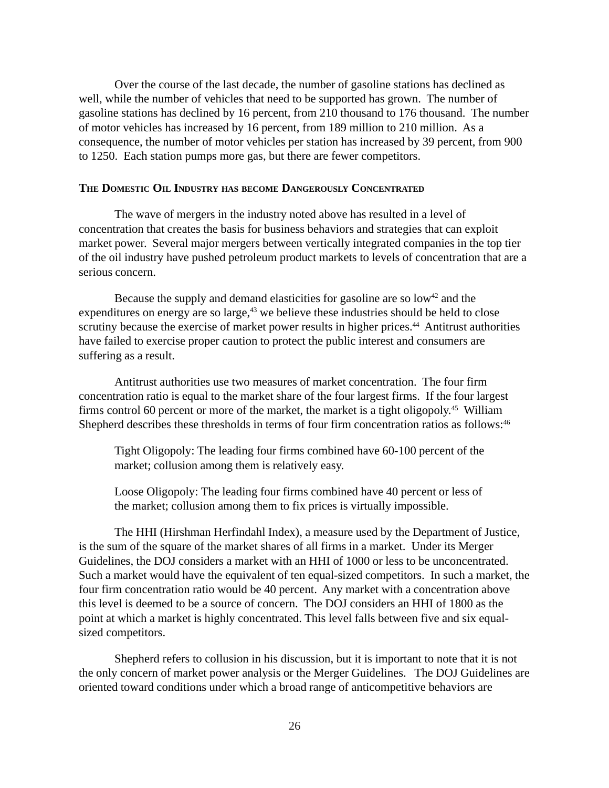<span id="page-28-0"></span>Over the course of the last decade, the number of gasoline stations has declined as well, while the number of vehicles that need to be supported has grown. The number of gasoline stations has declined by 16 percent, from 210 thousand to 176 thousand. The number of motor vehicles has increased by 16 percent, from 189 million to 210 million. As a consequence, the number of motor vehicles per station has increased by 39 percent, from 900 to 1250. Each station pumps more gas, but there are fewer competitors.

#### **THE DOMESTIC OIL INDUSTRY HAS BECOME DANGEROUSLY CONCENTRATED**

The wave of mergers in the industry noted above has resulted in a level of concentration that creates the basis for business behaviors and strategies that can exploit market power. Several major mergers between vertically integrated companies in the top tier of the oil industry have pushed petroleum product markets to levels of concentration that are a serious concern.

Because the supply and demand elasticities for gasoline are so  $\text{low}^{42}$  and the expenditures on energy are so large, $43$  we believe these industries should be held to close scrutiny because the exercise of market power results in higher prices.<sup>44</sup> Antitrust authorities have failed to exercise proper caution to protect the public interest and consumers are suffering as a result.

Antitrust authorities use two measures of market concentration. The four firm concentration ratio is equal to the market share of the four largest firms. If the four largest firms control 60 percent or more of the market, the market is a tight oligopoly.45 William Shepherd describes these thresholds in terms of four firm concentration ratios as follows:<sup>46</sup>

Tight Oligopoly: The leading four firms combined have 60-100 percent of the market; collusion among them is relatively easy.

Loose Oligopoly: The leading four firms combined have 40 percent or less of the market; collusion among them to fix prices is virtually impossible.

The HHI (Hirshman Herfindahl Index), a measure used by the Department of Justice, is the sum of the square of the market shares of all firms in a market. Under its Merger Guidelines, the DOJ considers a market with an HHI of 1000 or less to be unconcentrated. Such a market would have the equivalent of ten equal-sized competitors. In such a market, the four firm concentration ratio would be 40 percent. Any market with a concentration above this level is deemed to be a source of concern. The DOJ considers an HHI of 1800 as the point at which a market is highly concentrated. This level falls between five and six equalsized competitors.

Shepherd refers to collusion in his discussion, but it is important to note that it is not the only concern of market power analysis or the Merger Guidelines. The DOJ Guidelines are oriented toward conditions under which a broad range of anticompetitive behaviors are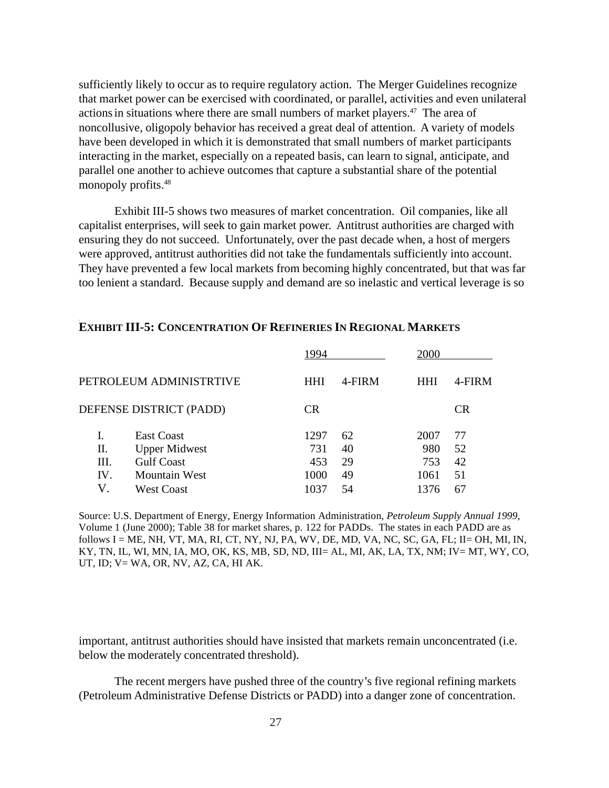sufficiently likely to occur as to require regulatory action. The Merger Guidelines recognize that market power can be exercised with coordinated, or parallel, activities and even unilateral actions in situations where there are small numbers of market players.<sup>47</sup> The area of noncollusive, oligopoly behavior has received a great deal of attention. A variety of models have been developed in which it is demonstrated that small numbers of market participants interacting in the market, especially on a repeated basis, can learn to signal, anticipate, and parallel one another to achieve outcomes that capture a substantial share of the potential monopoly profits.<sup>48</sup>

Exhibit III-5 shows two measures of market concentration. Oil companies, like all capitalist enterprises, will seek to gain market power. Antitrust authorities are charged with ensuring they do not succeed. Unfortunately, over the past decade when, a host of mergers were approved, antitrust authorities did not take the fundamentals sufficiently into account. They have prevented a few local markets from becoming highly concentrated, but that was far too lenient a standard. Because supply and demand are so inelastic and vertical leverage is so

|                         |                      | 1994       |        |            | 2000      |  |  |
|-------------------------|----------------------|------------|--------|------------|-----------|--|--|
| PETROLEUM ADMINISTRTIVE |                      | <b>HHI</b> | 4-FIRM | <b>HHI</b> | 4-FIRM    |  |  |
| DEFENSE DISTRICT (PADD) |                      | <b>CR</b>  |        |            | <b>CR</b> |  |  |
|                         | East Coast           | 1297       | 62     | 2007       | 77        |  |  |
| П.                      | <b>Upper Midwest</b> | 731        | 40     | 980        | 52        |  |  |
| Ш.                      | <b>Gulf Coast</b>    | 453        | 29     | 753        | 42        |  |  |
| IV.                     | <b>Mountain West</b> | 1000       | 49     | 1061       | 51        |  |  |
| V                       | <b>West Coast</b>    | 1037       | 54     | 1376       | 67        |  |  |

#### **EXHIBIT III-5: CONCENTRATION OF REFINERIES IN REGIONAL MARKETS**

Source: U.S. Department of Energy, Energy Information Administration, *Petroleum Supply Annual 1999,* Volume 1 (June 2000); Table 38 for market shares, p. 122 for PADDs. The states in each PADD are as follows I = ME, NH, VT, MA, RI, CT, NY, NJ, PA, WV, DE, MD, VA, NC, SC, GA, FL; II= OH, MI, IN, KY, TN, IL, WI, MN, IA, MO, OK, KS, MB, SD, ND, III= AL, MI, AK, LA, TX, NM; IV= MT, WY, CO, UT, ID; V= WA, OR, NV, AZ, CA, HI AK.

important, antitrust authorities should have insisted that markets remain unconcentrated (i.e. below the moderately concentrated threshold).

The recent mergers have pushed three of the country's five regional refining markets (Petroleum Administrative Defense Districts or PADD) into a danger zone of concentration.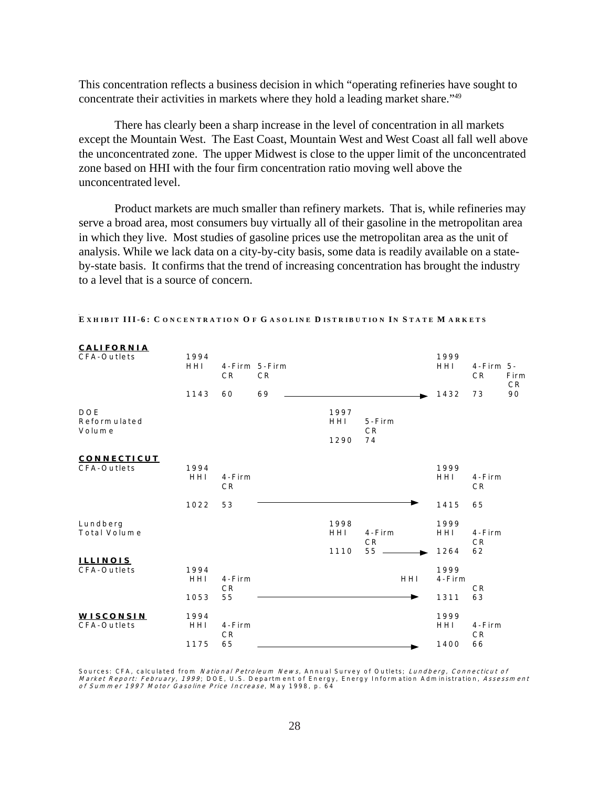This concentration reflects a business decision in which "operating refineries have sought to concentrate their activities in markets where they hold a leading market share."49

There has clearly been a sharp increase in the level of concentration in all markets except the Mountain West. The East Coast, Mountain West and West Coast all fall well above the unconcentrated zone. The upper Midwest is close to the upper limit of the unconcentrated zone based on HHI with the four firm concentration ratio moving well above the unconcentrated level.

Product markets are much smaller than refinery markets. That is, while refineries may serve a broad area, most consumers buy virtually all of their gasoline in the metropolitan area in which they live. Most studies of gasoline prices use the metropolitan area as the unit of analysis. While we lack data on a city-by-city basis, some data is readily available on a stateby-state basis. It confirms that the trend of increasing concentration has brought the industry to a level that is a source of concern.

| <b>CALIFORNIA</b>  |             |                               |                                 |      |                               |     |                     |                                     |      |
|--------------------|-------------|-------------------------------|---------------------------------|------|-------------------------------|-----|---------------------|-------------------------------------|------|
| CFA-Outlets        | 1994        |                               |                                 |      |                               |     | 1999                |                                     |      |
|                    | HHI         | C <sub>R</sub>                | 4-Firm 5-Firm<br>C <sub>R</sub> |      |                               |     | HHI                 | $4 - F$ irm $5 -$<br>C <sub>R</sub> | Firm |
|                    |             |                               |                                 |      |                               |     |                     |                                     | C R  |
|                    | 1143        | 60                            | 69                              |      |                               |     | 1432                | 73                                  | 90   |
| DOE                |             |                               |                                 | 1997 |                               |     |                     |                                     |      |
| Reform ulated      |             |                               |                                 | HHI  | $5 - F$ irm                   |     |                     |                                     |      |
| Volume             |             |                               |                                 | 1290 | C <sub>R</sub><br>74          |     |                     |                                     |      |
|                    |             |                               |                                 |      |                               |     |                     |                                     |      |
| <b>CONNECTICUT</b> |             |                               |                                 |      |                               |     |                     |                                     |      |
| CFA-Outlets        | 1994<br>HHI | $4 - F$ irm                   |                                 |      |                               |     | 1999<br>HHI         | $4 - F$ irm                         |      |
|                    |             | C <sub>R</sub>                |                                 |      |                               |     |                     | C <sub>R</sub>                      |      |
|                    | 1022        | 53                            |                                 |      |                               |     | 1415                | 65                                  |      |
|                    |             |                               |                                 |      |                               |     |                     |                                     |      |
| Lundberg           |             |                               |                                 | 1998 |                               |     | 1999                |                                     |      |
| Total Volume       |             |                               |                                 | HHI  | $4 - F$ irm<br>C <sub>R</sub> |     | HHI                 | $4 - F$ irm<br>C <sub>R</sub>       |      |
|                    |             |                               |                                 | 1110 | 55                            |     | 1264                | 62                                  |      |
| <b>ILLINOIS</b>    |             |                               |                                 |      |                               |     |                     |                                     |      |
| CFA-Outlets        | 1994<br>HHI | $4 - F$ irm                   |                                 |      |                               | HHI | 1999<br>$4 - F$ irm |                                     |      |
|                    |             | CR                            |                                 |      |                               |     |                     | C <sub>R</sub>                      |      |
|                    | 1053        | 55                            |                                 |      |                               |     | 1311                | 63                                  |      |
| WISCONSIN          | 1994        |                               |                                 |      |                               |     | 1999                |                                     |      |
| CFA-Outlets        | HHI         | $4 - F$ irm<br>C <sub>R</sub> |                                 |      |                               |     | HHI                 | $4 - F$ irm<br>CR                   |      |
|                    | 1175        | 65                            |                                 |      |                               |     | 1400                | 66                                  |      |

EXHIBIT III-6: CONCENTRATION OF GASOLINE DISTRIBUTION IN STATE MARKETS

Sources: CFA, calculated from *National Petroleum News*, Annual Survey of Outlets; *Lundberg, Connecticut of*<br>*Market Report: February, 1999*; DOE, U.S. Department of Energy, Energy Information Administration, Assessment<br>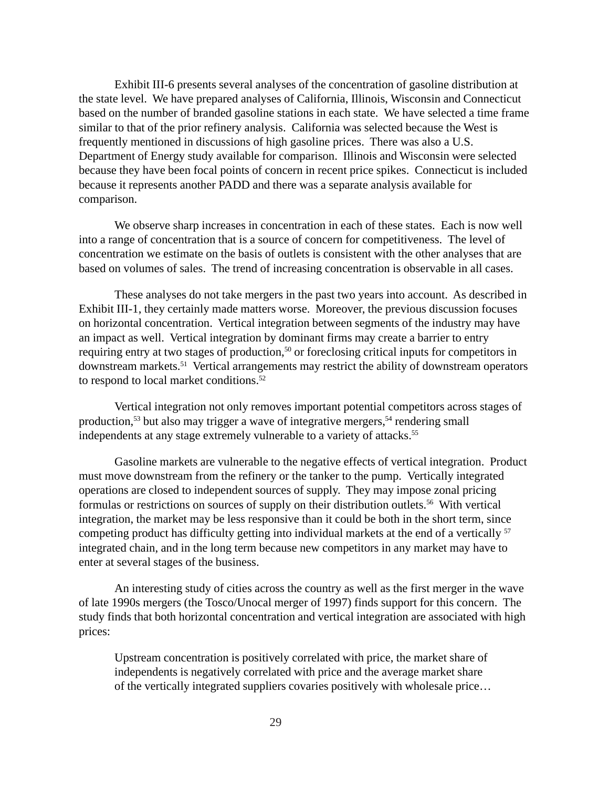Exhibit III-6 presents several analyses of the concentration of gasoline distribution at the state level. We have prepared analyses of California, Illinois, Wisconsin and Connecticut based on the number of branded gasoline stations in each state. We have selected a time frame similar to that of the prior refinery analysis. California was selected because the West is frequently mentioned in discussions of high gasoline prices. There was also a U.S. Department of Energy study available for comparison. Illinois and Wisconsin were selected because they have been focal points of concern in recent price spikes. Connecticut is included because it represents another PADD and there was a separate analysis available for comparison.

We observe sharp increases in concentration in each of these states. Each is now well into a range of concentration that is a source of concern for competitiveness. The level of concentration we estimate on the basis of outlets is consistent with the other analyses that are based on volumes of sales. The trend of increasing concentration is observable in all cases.

These analyses do not take mergers in the past two years into account. As described in Exhibit III-1, they certainly made matters worse. Moreover, the previous discussion focuses on horizontal concentration. Vertical integration between segments of the industry may have an impact as well. Vertical integration by dominant firms may create a barrier to entry requiring entry at two stages of production,<sup>50</sup> or foreclosing critical inputs for competitors in downstream markets.<sup>51</sup> Vertical arrangements may restrict the ability of downstream operators to respond to local market conditions.<sup>52</sup>

Vertical integration not only removes important potential competitors across stages of production,<sup>53</sup> but also may trigger a wave of integrative mergers,<sup>54</sup> rendering small independents at any stage extremely vulnerable to a variety of attacks.<sup>55</sup>

Gasoline markets are vulnerable to the negative effects of vertical integration. Product must move downstream from the refinery or the tanker to the pump. Vertically integrated operations are closed to independent sources of supply. They may impose zonal pricing formulas or restrictions on sources of supply on their distribution outlets.<sup>56</sup> With vertical integration, the market may be less responsive than it could be both in the short term, since competing product has difficulty getting into individual markets at the end of a vertically  $57$ integrated chain, and in the long term because new competitors in any market may have to enter at several stages of the business.

An interesting study of cities across the country as well as the first merger in the wave of late 1990s mergers (the Tosco/Unocal merger of 1997) finds support for this concern. The study finds that both horizontal concentration and vertical integration are associated with high prices:

Upstream concentration is positively correlated with price, the market share of independents is negatively correlated with price and the average market share of the vertically integrated suppliers covaries positively with wholesale price…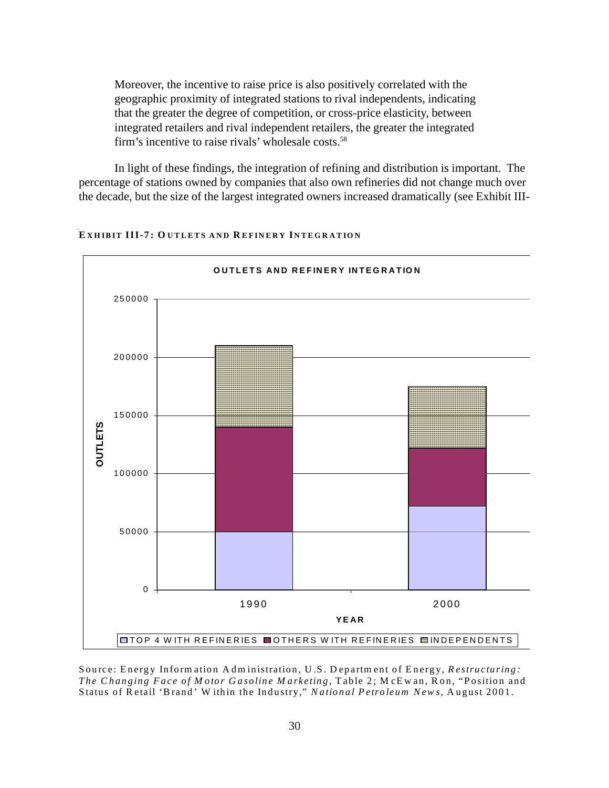Moreover, the incentive to raise price is also positively correlated with the geographic proximity of integrated stations to rival independents, indicating that the greater the degree of competition, or cross-price elasticity, between integrated retailers and rival independent retailers, the greater the integrated firm's incentive to raise rivals' wholesale costs.<sup>58</sup>

In light of these findings, the integration of refining and distribution is important. The percentage of stations owned by companies that also own refineries did not change much over the decade, but the size of the largest integrated owners increased dramatically (see Exhibit III-



#### EXHIBIT III-7: OUTLETS AND REFINERY INTEGRATION

Source: Energy Information Administration, U.S. Department of Energy, Restructuring: The Changing Face of Motor Gasoline Marketing, Table 2; McEwan, Ron, "Position and Status of Retail 'Brand' Within the Industry," National Petroleum News, August 2001.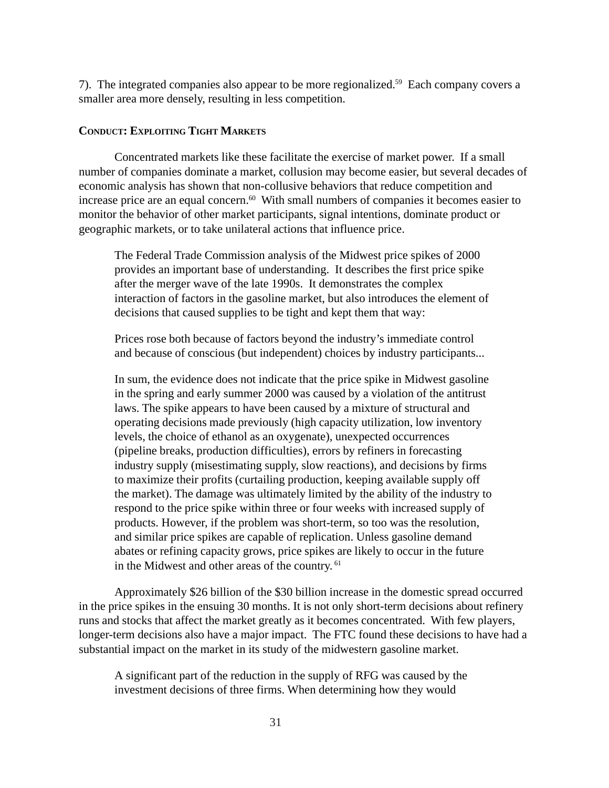<span id="page-33-0"></span>7). The integrated companies also appear to be more regionalized.59 Each company covers a smaller area more densely, resulting in less competition.

#### **CONDUCT: EXPLOITING TIGHT MARKETS**

Concentrated markets like these facilitate the exercise of market power. If a small number of companies dominate a market, collusion may become easier, but several decades of economic analysis has shown that non-collusive behaviors that reduce competition and increase price are an equal concern.<sup>60</sup> With small numbers of companies it becomes easier to monitor the behavior of other market participants, signal intentions, dominate product or geographic markets, or to take unilateral actions that influence price.

The Federal Trade Commission analysis of the Midwest price spikes of 2000 provides an important base of understanding. It describes the first price spike after the merger wave of the late 1990s. It demonstrates the complex interaction of factors in the gasoline market, but also introduces the element of decisions that caused supplies to be tight and kept them that way:

Prices rose both because of factors beyond the industry's immediate control and because of conscious (but independent) choices by industry participants...

In sum, the evidence does not indicate that the price spike in Midwest gasoline in the spring and early summer 2000 was caused by a violation of the antitrust laws. The spike appears to have been caused by a mixture of structural and operating decisions made previously (high capacity utilization, low inventory levels, the choice of ethanol as an oxygenate), unexpected occurrences (pipeline breaks, production difficulties), errors by refiners in forecasting industry supply (misestimating supply, slow reactions), and decisions by firms to maximize their profits (curtailing production, keeping available supply off the market). The damage was ultimately limited by the ability of the industry to respond to the price spike within three or four weeks with increased supply of products. However, if the problem was short-term, so too was the resolution, and similar price spikes are capable of replication. Unless gasoline demand abates or refining capacity grows, price spikes are likely to occur in the future in the Midwest and other areas of the country.<sup>61</sup>

Approximately \$26 billion of the \$30 billion increase in the domestic spread occurred in the price spikes in the ensuing 30 months. It is not only short-term decisions about refinery runs and stocks that affect the market greatly as it becomes concentrated. With few players, longer-term decisions also have a major impact. The FTC found these decisions to have had a substantial impact on the market in its study of the midwestern gasoline market.

A significant part of the reduction in the supply of RFG was caused by the investment decisions of three firms. When determining how they would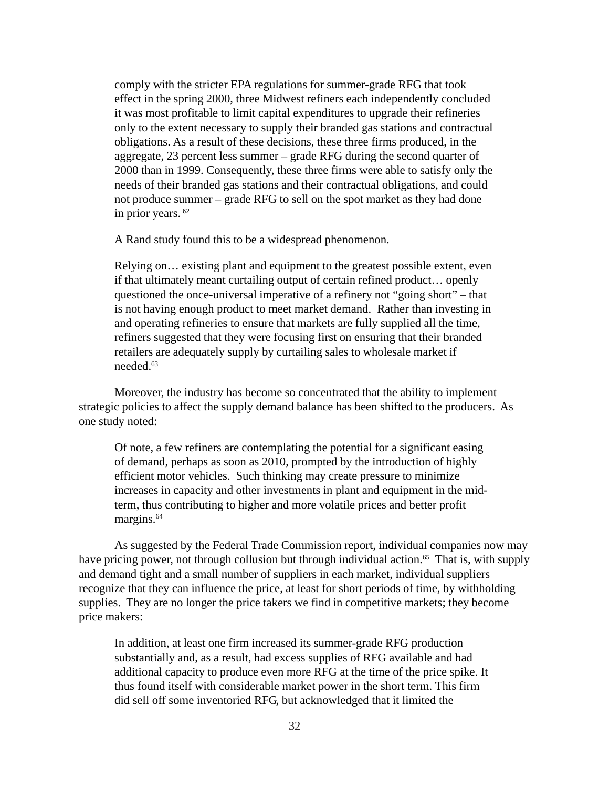comply with the stricter EPA regulations for summer-grade RFG that took effect in the spring 2000, three Midwest refiners each independently concluded it was most profitable to limit capital expenditures to upgrade their refineries only to the extent necessary to supply their branded gas stations and contractual obligations. As a result of these decisions, these three firms produced, in the aggregate, 23 percent less summer – grade RFG during the second quarter of 2000 than in 1999. Consequently, these three firms were able to satisfy only the needs of their branded gas stations and their contractual obligations, and could not produce summer – grade RFG to sell on the spot market as they had done in prior years.<sup>62</sup>

A Rand study found this to be a widespread phenomenon.

Relying on… existing plant and equipment to the greatest possible extent, even if that ultimately meant curtailing output of certain refined product… openly questioned the once-universal imperative of a refinery not "going short" – that is not having enough product to meet market demand. Rather than investing in and operating refineries to ensure that markets are fully supplied all the time, refiners suggested that they were focusing first on ensuring that their branded retailers are adequately supply by curtailing sales to wholesale market if needed.63

Moreover, the industry has become so concentrated that the ability to implement strategic policies to affect the supply demand balance has been shifted to the producers. As one study noted:

Of note, a few refiners are contemplating the potential for a significant easing of demand, perhaps as soon as 2010, prompted by the introduction of highly efficient motor vehicles. Such thinking may create pressure to minimize increases in capacity and other investments in plant and equipment in the midterm, thus contributing to higher and more volatile prices and better profit margins.<sup>64</sup>

As suggested by the Federal Trade Commission report, individual companies now may have pricing power, not through collusion but through individual action.<sup>65</sup> That is, with supply and demand tight and a small number of suppliers in each market, individual suppliers recognize that they can influence the price, at least for short periods of time, by withholding supplies. They are no longer the price takers we find in competitive markets; they become price makers:

In addition, at least one firm increased its summer-grade RFG production substantially and, as a result, had excess supplies of RFG available and had additional capacity to produce even more RFG at the time of the price spike. It thus found itself with considerable market power in the short term. This firm did sell off some inventoried RFG, but acknowledged that it limited the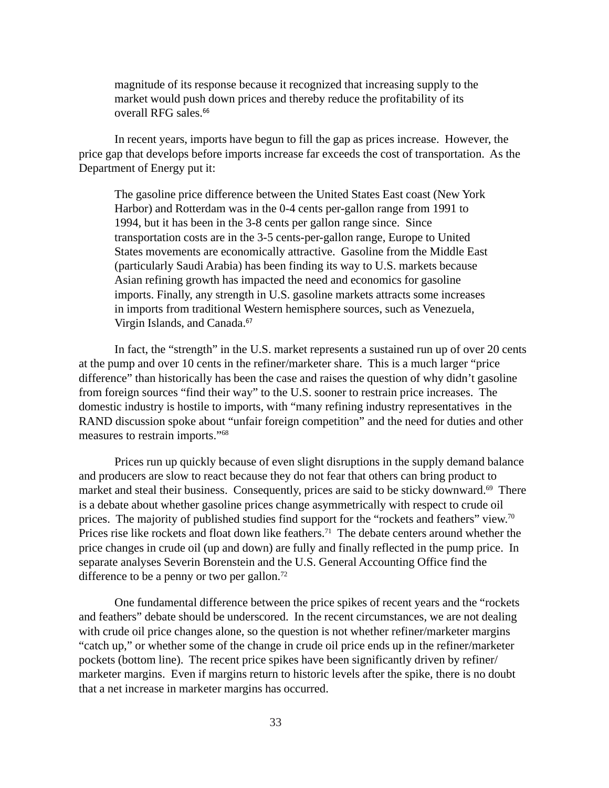<span id="page-35-0"></span>magnitude of its response because it recognized that increasing supply to the market would push down prices and thereby reduce the profitability of its overall RFG sales.<sup>66</sup>

In recent years, imports have begun to fill the gap as prices increase. However, the price gap that develops before imports increase far exceeds the cost of transportation. As the Department of Energy put it:

The gasoline price difference between the United States East coast (New York Harbor) and Rotterdam was in the 0-4 cents per-gallon range from 1991 to 1994, but it has been in the 3-8 cents per gallon range since. Since transportation costs are in the 3-5 cents-per-gallon range, Europe to United States movements are economically attractive. Gasoline from the Middle East (particularly Saudi Arabia) has been finding its way to U.S. markets because Asian refining growth has impacted the need and economics for gasoline imports. Finally, any strength in U.S. gasoline markets attracts some increases in imports from traditional Western hemisphere sources, such as Venezuela, Virgin Islands, and Canada.<sup>67</sup>

In fact, the "strength" in the U.S. market represents a sustained run up of over 20 cents at the pump and over 10 cents in the refiner/marketer share. This is a much larger "price difference" than historically has been the case and raises the question of why didn't gasoline from foreign sources "find their way" to the U.S. sooner to restrain price increases. The domestic industry is hostile to imports, with "many refining industry representatives in the RAND discussion spoke about "unfair foreign competition" and the need for duties and other measures to restrain imports."68

Prices run up quickly because of even slight disruptions in the supply demand balance and producers are slow to react because they do not fear that others can bring product to market and steal their business. Consequently, prices are said to be sticky downward.<sup>69</sup> There is a debate about whether gasoline prices change asymmetrically with respect to crude oil prices. The majority of published studies find support for the "rockets and feathers" view.<sup>70</sup> Prices rise like rockets and float down like feathers.<sup>71</sup> The debate centers around whether the price changes in crude oil (up and down) are fully and finally reflected in the pump price. In separate analyses Severin Borenstein and the U.S. General Accounting Office find the difference to be a penny or two per gallon.<sup>72</sup>

One fundamental difference between the price spikes of recent years and the "rockets and feathers" debate should be underscored. In the recent circumstances, we are not dealing with crude oil price changes alone, so the question is not whether refiner/marketer margins "catch up," or whether some of the change in crude oil price ends up in the refiner/marketer pockets (bottom line). The recent price spikes have been significantly driven by refiner/ marketer margins. Even if margins return to historic levels after the spike, there is no doubt that a net increase in marketer margins has occurred.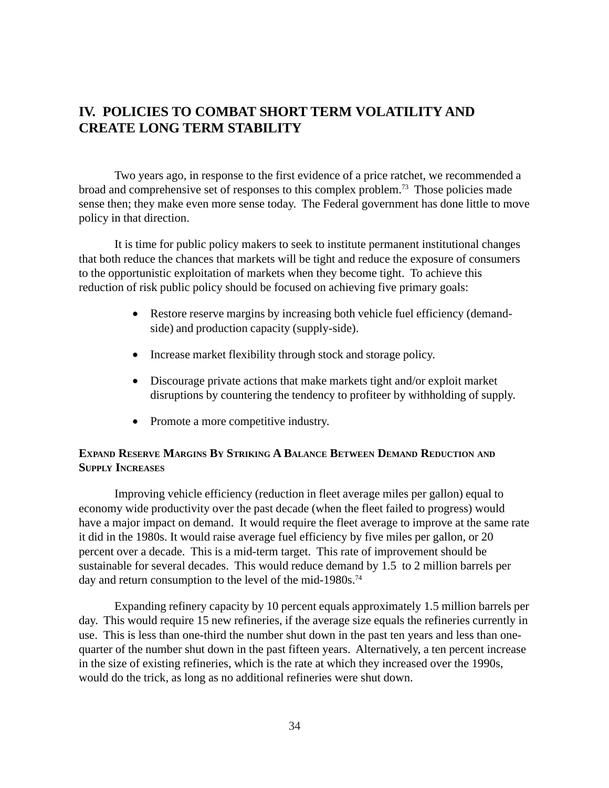### <span id="page-36-0"></span>**IV. POLICIES TO COMBAT SHORT TERM VOLATILITY AND CREATE LONG TERM STABILITY**

Two years ago, in response to the first evidence of a price ratchet, we recommended a broad and comprehensive set of responses to this complex problem.73 Those policies made sense then; they make even more sense today. The Federal government has done little to move policy in that direction.

It is time for public policy makers to seek to institute permanent institutional changes that both reduce the chances that markets will be tight and reduce the exposure of consumers to the opportunistic exploitation of markets when they become tight. To achieve this reduction of risk public policy should be focused on achieving five primary goals:

- Restore reserve margins by increasing both vehicle fuel efficiency (demandside) and production capacity (supply-side).
- Increase market flexibility through stock and storage policy.
- Discourage private actions that make markets tight and/or exploit market disruptions by countering the tendency to profiteer by withholding of supply.
- Promote a more competitive industry.

#### **EXPAND RESERVE MARGINS BY STRIKING A BALANCE BETWEEN DEMAND REDUCTION AND SUPPLY INCREASES**

Improving vehicle efficiency (reduction in fleet average miles per gallon) equal to economy wide productivity over the past decade (when the fleet failed to progress) would have a major impact on demand. It would require the fleet average to improve at the same rate it did in the 1980s. It would raise average fuel efficiency by five miles per gallon, or 20 percent over a decade. This is a mid-term target. This rate of improvement should be sustainable for several decades. This would reduce demand by 1.5 to 2 million barrels per day and return consumption to the level of the mid-1980s.<sup>74</sup>

Expanding refinery capacity by 10 percent equals approximately 1.5 million barrels per day. This would require 15 new refineries, if the average size equals the refineries currently in use. This is less than one-third the number shut down in the past ten years and less than onequarter of the number shut down in the past fifteen years. Alternatively, a ten percent increase in the size of existing refineries, which is the rate at which they increased over the 1990s, would do the trick, as long as no additional refineries were shut down.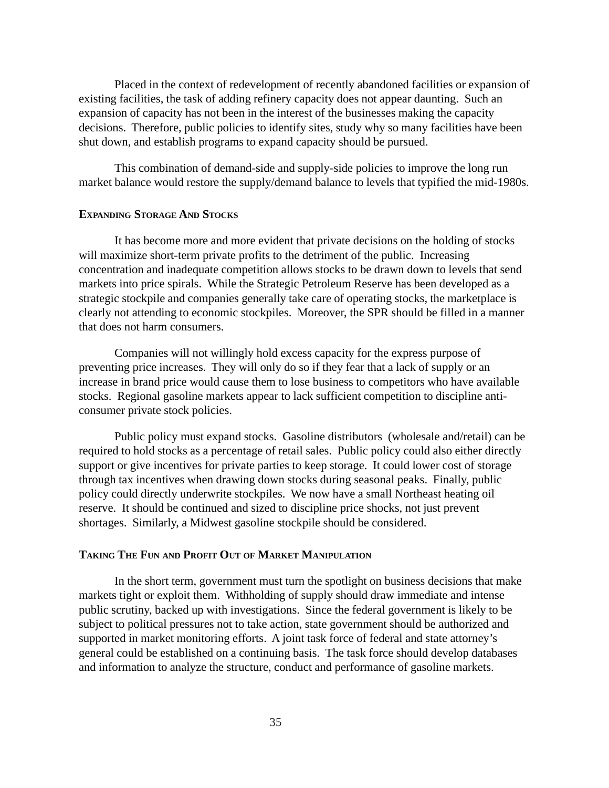<span id="page-37-0"></span>Placed in the context of redevelopment of recently abandoned facilities or expansion of existing facilities, the task of adding refinery capacity does not appear daunting. Such an expansion of capacity has not been in the interest of the businesses making the capacity decisions. Therefore, public policies to identify sites, study why so many facilities have been shut down, and establish programs to expand capacity should be pursued.

This combination of demand-side and supply-side policies to improve the long run market balance would restore the supply/demand balance to levels that typified the mid-1980s.

#### **EXPANDING STORAGE AND STOCKS**

It has become more and more evident that private decisions on the holding of stocks will maximize short-term private profits to the detriment of the public. Increasing concentration and inadequate competition allows stocks to be drawn down to levels that send markets into price spirals. While the Strategic Petroleum Reserve has been developed as a strategic stockpile and companies generally take care of operating stocks, the marketplace is clearly not attending to economic stockpiles. Moreover, the SPR should be filled in a manner that does not harm consumers.

Companies will not willingly hold excess capacity for the express purpose of preventing price increases. They will only do so if they fear that a lack of supply or an increase in brand price would cause them to lose business to competitors who have available stocks. Regional gasoline markets appear to lack sufficient competition to discipline anticonsumer private stock policies.

Public policy must expand stocks. Gasoline distributors (wholesale and/retail) can be required to hold stocks as a percentage of retail sales. Public policy could also either directly support or give incentives for private parties to keep storage. It could lower cost of storage through tax incentives when drawing down stocks during seasonal peaks. Finally, public policy could directly underwrite stockpiles. We now have a small Northeast heating oil reserve. It should be continued and sized to discipline price shocks, not just prevent shortages. Similarly, a Midwest gasoline stockpile should be considered.

#### **TAKING THE FUN AND PROFIT OUT OF MARKET MANIPULATION**

In the short term, government must turn the spotlight on business decisions that make markets tight or exploit them. Withholding of supply should draw immediate and intense public scrutiny, backed up with investigations. Since the federal government is likely to be subject to political pressures not to take action, state government should be authorized and supported in market monitoring efforts. A joint task force of federal and state attorney's general could be established on a continuing basis. The task force should develop databases and information to analyze the structure, conduct and performance of gasoline markets.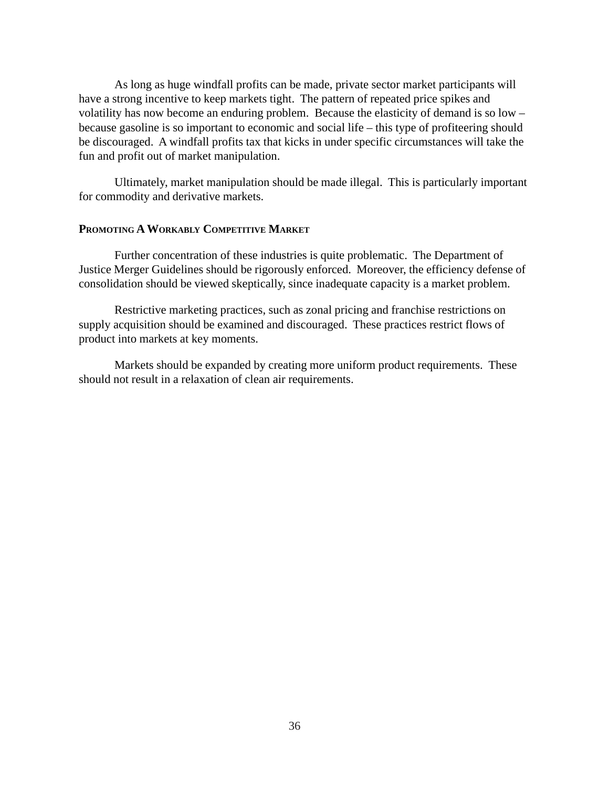<span id="page-38-0"></span>As long as huge windfall profits can be made, private sector market participants will have a strong incentive to keep markets tight. The pattern of repeated price spikes and volatility has now become an enduring problem. Because the elasticity of demand is so low – because gasoline is so important to economic and social life – this type of profiteering should be discouraged. A windfall profits tax that kicks in under specific circumstances will take the fun and profit out of market manipulation.

Ultimately, market manipulation should be made illegal. This is particularly important for commodity and derivative markets.

#### **PROMOTING A WORKABLY COMPETITIVE MARKET**

Further concentration of these industries is quite problematic. The Department of Justice Merger Guidelines should be rigorously enforced. Moreover, the efficiency defense of consolidation should be viewed skeptically, since inadequate capacity is a market problem.

Restrictive marketing practices, such as zonal pricing and franchise restrictions on supply acquisition should be examined and discouraged. These practices restrict flows of product into markets at key moments.

Markets should be expanded by creating more uniform product requirements. These should not result in a relaxation of clean air requirements.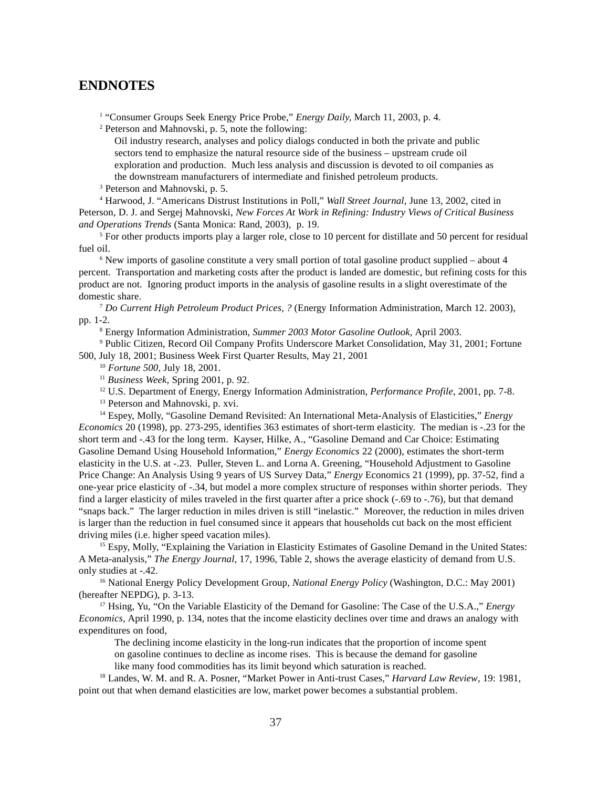#### **ENDNOTES**

<sup>1</sup> "Consumer Groups Seek Energy Price Probe," *Energy Daily*, March 11, 2003, p. 4.

2 Peterson and Mahnovski, p. 5, note the following:

Oil industry research, analyses and policy dialogs conducted in both the private and public sectors tend to emphasize the natural resource side of the business – upstream crude oil exploration and production. Much less analysis and discussion is devoted to oil companies as the downstream manufacturers of intermediate and finished petroleum products.

3 Peterson and Mahnovski, p. 5.

4 Harwood, J. "Americans Distrust Institutions in Poll," *Wall Street Journal,* June 13, 2002, cited in Peterson, D. J. and Sergej Mahnovski, *New Forces At Work in Refining: Industry Views of Critical Business and Operations Trends* (Santa Monica: Rand, 2003), p. 19.

<sup>5</sup> For other products imports play a larger role, close to 10 percent for distillate and 50 percent for residual fuel oil.

<sup>6</sup> New imports of gasoline constitute a very small portion of total gasoline product supplied – about 4 percent. Transportation and marketing costs after the product is landed are domestic, but refining costs for this product are not. Ignoring product imports in the analysis of gasoline results in a slight overestimate of the domestic share.

<sup>7</sup> *Do Current High Petroleum Product Prices, ?* (Energy Information Administration, March 12. 2003), pp. 1-2.

8 Energy Information Administration, *Summer 2003 Motor Gasoline Outlook,* April 2003.

9 Public Citizen, Record Oil Company Profits Underscore Market Consolidation, May 31, 2001; Fortune 500, July 18, 2001; Business Week First Quarter Results, May 21, 2001

<sup>10</sup> *Fortune 500,* July 18, 2001.

<sup>11</sup> *Business Week,* Spring 2001, p. 92.

12 U.S. Department of Energy, Energy Information Administration, *Performance Profile*, 2001, pp. 7-8.

<sup>13</sup> Peterson and Mahnovski, p. xvi.

14 Espey, Molly, "Gasoline Demand Revisited: An International Meta-Analysis of Elasticities," *Energy Economics* 20 (1998), pp. 273-295, identifies 363 estimates of short-term elasticity. The median is -.23 for the short term and -.43 for the long term. Kayser, Hilke, A., "Gasoline Demand and Car Choice: Estimating Gasoline Demand Using Household Information," *Energy Economics* 22 (2000), estimates the short-term elasticity in the U.S. at -.23. Puller, Steven L. and Lorna A. Greening, "Household Adjustment to Gasoline Price Change: An Analysis Using 9 years of US Survey Data," *Energy* Economics 21 (1999), pp. 37-52, find a one-year price elasticity of -.34, but model a more complex structure of responses within shorter periods. They find a larger elasticity of miles traveled in the first quarter after a price shock (-.69 to -.76), but that demand "snaps back." The larger reduction in miles driven is still "inelastic." Moreover, the reduction in miles driven is larger than the reduction in fuel consumed since it appears that households cut back on the most efficient driving miles (i.e. higher speed vacation miles).

<sup>15</sup> Espy, Molly, "Explaining the Variation in Elasticity Estimates of Gasoline Demand in the United States: A Meta-analysis," *The Energy Journal,* 17, 1996, Table 2, shows the average elasticity of demand from U.S. only studies at -.42.

16 National Energy Policy Development Group, *National Energy Policy* (Washington, D.C.: May 2001) (hereafter NEPDG), p. 3-13.

17 Hsing, Yu, "On the Variable Elasticity of the Demand for Gasoline: The Case of the U.S.A.," *Energy Economics,* April 1990, p. 134, notes that the income elasticity declines over time and draws an analogy with expenditures on food,

The declining income elasticity in the long-run indicates that the proportion of income spent on gasoline continues to decline as income rises. This is because the demand for gasoline

like many food commodities has its limit beyond which saturation is reached.

18 Landes, W. M. and R. A. Posner, "Market Power in Anti-trust Cases," *Harvard Law Review*, 19: 1981, point out that when demand elasticities are low, market power becomes a substantial problem.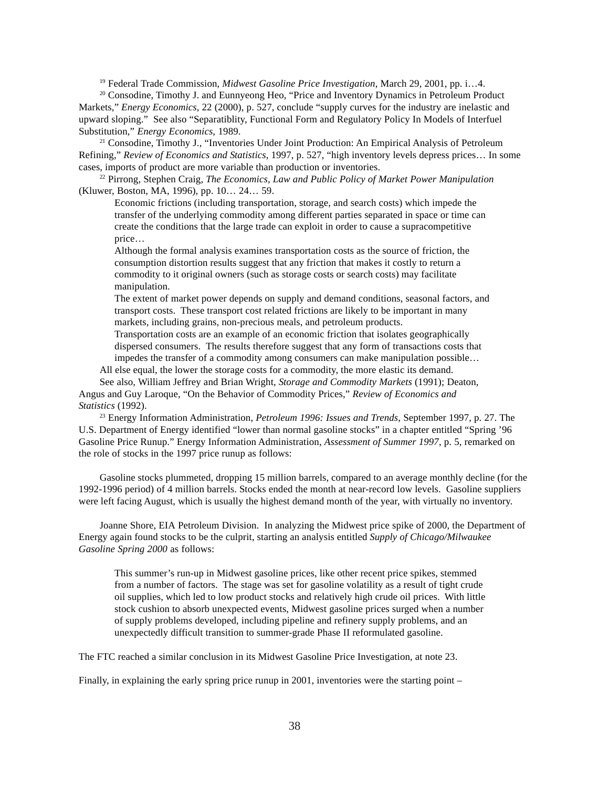19 Federal Trade Commission, *Midwest Gasoline Price Investigation*, March 29, 2001, pp. i…4.

<sup>20</sup> Consodine, Timothy J. and Eunnyeong Heo, "Price and Inventory Dynamics in Petroleum Product Markets," *Energy Economics*, 22 (2000), p. 527, conclude "supply curves for the industry are inelastic and upward sloping." See also "Separatiblity, Functional Form and Regulatory Policy In Models of Interfuel Substitution," *Energy Economics*, 1989.

<sup>21</sup> Consodine, Timothy J., "Inventories Under Joint Production: An Empirical Analysis of Petroleum Refining," *Review of Economics and Statistics*, 1997, p. 527, "high inventory levels depress prices… In some cases, imports of product are more variable than production or inventories.

22 Pirrong, Stephen Craig, *The Economics, Law and Public Policy of Market Power Manipulation* (Kluwer, Boston, MA, 1996), pp. 10… 24… 59.

Economic frictions (including transportation, storage, and search costs) which impede the transfer of the underlying commodity among different parties separated in space or time can create the conditions that the large trade can exploit in order to cause a supracompetitive price…

Although the formal analysis examines transportation costs as the source of friction, the consumption distortion results suggest that any friction that makes it costly to return a commodity to it original owners (such as storage costs or search costs) may facilitate manipulation.

The extent of market power depends on supply and demand conditions, seasonal factors, and transport costs. These transport cost related frictions are likely to be important in many markets, including grains, non-precious meals, and petroleum products.

Transportation costs are an example of an economic friction that isolates geographically dispersed consumers. The results therefore suggest that any form of transactions costs that impedes the transfer of a commodity among consumers can make manipulation possible… All else equal, the lower the storage costs for a commodity, the more elastic its demand.

See also, William Jeffrey and Brian Wright, *Storage and Commodity Markets* (1991); Deaton, Angus and Guy Laroque, "On the Behavior of Commodity Prices," *Review of Economics and Statistics* (1992).

23 Energy Information Administration, *Petroleum 1996: Issues and Trends*, September 1997, p. 27. The U.S. Department of Energy identified "lower than normal gasoline stocks" in a chapter entitled "Spring '96 Gasoline Price Runup." Energy Information Administration, *Assessment of Summer 1997*, p. 5, remarked on the role of stocks in the 1997 price runup as follows:

Gasoline stocks plummeted, dropping 15 million barrels, compared to an average monthly decline (for the 1992-1996 period) of 4 million barrels. Stocks ended the month at near-record low levels. Gasoline suppliers were left facing August, which is usually the highest demand month of the year, with virtually no inventory.

Joanne Shore, EIA Petroleum Division. In analyzing the Midwest price spike of 2000, the Department of Energy again found stocks to be the culprit, starting an analysis entitled *Supply of Chicago/Milwaukee Gasoline Spring 2000* as follows:

This summer's run-up in Midwest gasoline prices, like other recent price spikes, stemmed from a number of factors. The stage was set for gasoline volatility as a result of tight crude oil supplies, which led to low product stocks and relatively high crude oil prices. With little stock cushion to absorb unexpected events, Midwest gasoline prices surged when a number of supply problems developed, including pipeline and refinery supply problems, and an unexpectedly difficult transition to summer-grade Phase II reformulated gasoline.

The FTC reached a similar conclusion in its Midwest Gasoline Price Investigation, at note 23.

Finally, in explaining the early spring price runup in 2001, inventories were the starting point –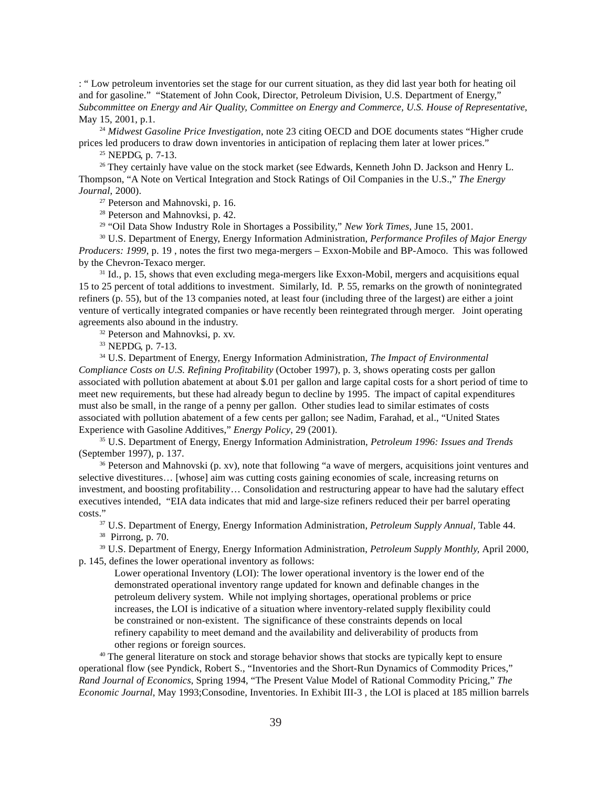: " Low petroleum inventories set the stage for our current situation, as they did last year both for heating oil and for gasoline." "Statement of John Cook, Director, Petroleum Division, U.S. Department of Energy," *Subcommittee on Energy and Air Quality, Committee on Energy and Commerce, U.S. House of Representative*, May 15, 2001, p.1.

<sup>24</sup> *Midwest Gasoline Price Investigation*, note 23 citing OECD and DOE documents states "Higher crude prices led producers to draw down inventories in anticipation of replacing them later at lower prices."

<sup>25</sup> NEPDG, p. 7-13.

<sup>26</sup> They certainly have value on the stock market (see Edwards, Kenneth John D. Jackson and Henry L. Thompson, "A Note on Vertical Integration and Stock Ratings of Oil Companies in the U.S.," *The Energy Journal*, 2000).

27 Peterson and Mahnovski, p. 16.

28 Peterson and Mahnovksi, p. 42.

29 "Oil Data Show Industry Role in Shortages a Possibility," *New York Times*, June 15, 2001.

30 U.S. Department of Energy, Energy Information Administration, *Performance Profiles of Major Energy Producers: 1999*, p. 19 , notes the first two mega-mergers – Exxon-Mobile and BP-Amoco. This was followed by the Chevron-Texaco merger.

<sup>31</sup> Id., p. 15, shows that even excluding mega-mergers like Exxon-Mobil, mergers and acquisitions equal 15 to 25 percent of total additions to investment. Similarly, Id. P. 55, remarks on the growth of nonintegrated refiners (p. 55), but of the 13 companies noted, at least four (including three of the largest) are either a joint venture of vertically integrated companies or have recently been reintegrated through merger. Joint operating agreements also abound in the industry.

32 Peterson and Mahnovksi, p. xv.

33 NEPDG, p. 7-13.

34 U.S. Department of Energy, Energy Information Administration, *The Impact of Environmental Compliance Costs on U.S. Refining Profitability* (October 1997), p. 3, shows operating costs per gallon associated with pollution abatement at about \$.01 per gallon and large capital costs for a short period of time to meet new requirements, but these had already begun to decline by 1995. The impact of capital expenditures must also be small, in the range of a penny per gallon. Other studies lead to similar estimates of costs associated with pollution abatement of a few cents per gallon; see Nadim, Farahad, et al., "United States Experience with Gasoline Additives," *Energy Policy*, 29 (2001).

35 U.S. Department of Energy, Energy Information Administration, *Petroleum 1996: Issues and Trends* (September 1997), p. 137.

<sup>36</sup> Peterson and Mahnovski (p. xv), note that following "a wave of mergers, acquisitions joint ventures and selective divestitures… [whose] aim was cutting costs gaining economies of scale, increasing returns on investment, and boosting profitability… Consolidation and restructuring appear to have had the salutary effect executives intended, "EIA data indicates that mid and large-size refiners reduced their per barrel operating costs."37 U.S. Department of Energy, Energy Information Administration, *Petroleum Supply Annual,* Table 44.

38 Pirrong, p. 70.

39 U.S. Department of Energy, Energy Information Administration, *Petroleum Supply Monthly,* April 2000, p. 145, defines the lower operational inventory as follows:

Lower operational Inventory (LOI): The lower operational inventory is the lower end of the demonstrated operational inventory range updated for known and definable changes in the petroleum delivery system. While not implying shortages, operational problems or price increases, the LOI is indicative of a situation where inventory-related supply flexibility could be constrained or non-existent. The significance of these constraints depends on local refinery capability to meet demand and the availability and deliverability of products from other regions or foreign sources.

<sup>40</sup> The general literature on stock and storage behavior shows that stocks are typically kept to ensure operational flow (see Pyndick, Robert S., "Inventories and the Short-Run Dynamics of Commodity Prices," *Rand Journal of Economics*, Spring 1994, "The Present Value Model of Rational Commodity Pricing," *The Economic Journal*, May 1993;Consodine, Inventories. In Exhibit III-3 , the LOI is placed at 185 million barrels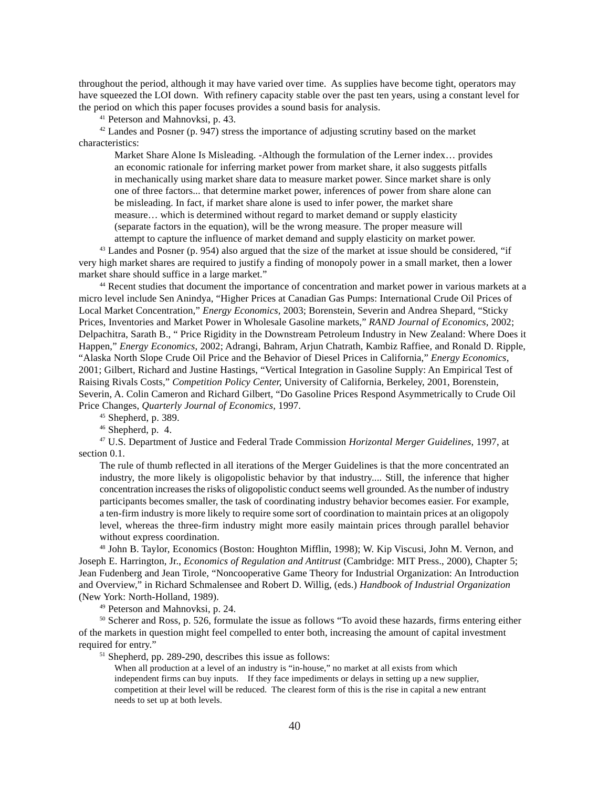throughout the period, although it may have varied over time. As supplies have become tight, operators may have squeezed the LOI down. With refinery capacity stable over the past ten years, using a constant level for the period on which this paper focuses provides a sound basis for analysis.

41 Peterson and Mahnovksi, p. 43.

 $42$  Landes and Posner (p. 947) stress the importance of adjusting scrutiny based on the market characteristics:

Market Share Alone Is Misleading. -Although the formulation of the Lerner index… provides an economic rationale for inferring market power from market share, it also suggests pitfalls in mechanically using market share data to measure market power. Since market share is only one of three factors... that determine market power, inferences of power from share alone can be misleading. In fact, if market share alone is used to infer power, the market share measure… which is determined without regard to market demand or supply elasticity (separate factors in the equation), will be the wrong measure. The proper measure will attempt to capture the influence of market demand and supply elasticity on market power.

43 Landes and Posner (p. 954) also argued that the size of the market at issue should be considered, "if very high market shares are required to justify a finding of monopoly power in a small market, then a lower market share should suffice in a large market."

44 Recent studies that document the importance of concentration and market power in various markets at a micro level include Sen Anindya, "Higher Prices at Canadian Gas Pumps: International Crude Oil Prices of Local Market Concentration," *Energy Economics,* 2003; Borenstein, Severin and Andrea Shepard, "Sticky Prices, Inventories and Market Power in Wholesale Gasoline markets," *RAND Journal of Economics*, 2002; Delpachitra, Sarath B., " Price Rigidity in the Downstream Petroleum Industry in New Zealand: Where Does it Happen," *Energy Economics*, 2002; Adrangi, Bahram, Arjun Chatrath, Kambiz Raffiee, and Ronald D. Ripple, "Alaska North Slope Crude Oil Price and the Behavior of Diesel Prices in California," *Energy Economics*, 2001; Gilbert, Richard and Justine Hastings, "Vertical Integration in Gasoline Supply: An Empirical Test of Raising Rivals Costs," *Competition Policy Center,* University of California, Berkeley, 2001, Borenstein, Severin, A. Colin Cameron and Richard Gilbert, "Do Gasoline Prices Respond Asymmetrically to Crude Oil Price Changes, *Quarterly Journal of Economics,* 1997.

45 Shepherd, p. 389.

 $46$  Shepherd, p. 4.

47 U.S. Department of Justice and Federal Trade Commission *Horizontal Merger Guidelines*, 1997, at section 0.1.

The rule of thumb reflected in all iterations of the Merger Guidelines is that the more concentrated an industry, the more likely is oligopolistic behavior by that industry.... Still, the inference that higher concentration increases the risks of oligopolistic conduct seems well grounded. As the number of industry participants becomes smaller, the task of coordinating industry behavior becomes easier. For example, a ten-firm industry is more likely to require some sort of coordination to maintain prices at an oligopoly level, whereas the three-firm industry might more easily maintain prices through parallel behavior without express coordination.

48 John B. Taylor, Economics (Boston: Houghton Mifflin, 1998); W. Kip Viscusi, John M. Vernon, and Joseph E. Harrington, Jr., *Economics of Regulation and Antitrust* (Cambridge: MIT Press., 2000), Chapter 5; Jean Fudenberg and Jean Tirole, "Noncooperative Game Theory for Industrial Organization: An Introduction and Overview," in Richard Schmalensee and Robert D. Willig, (eds.) *Handbook of Industrial Organization* (New York: North-Holland, 1989).

49 Peterson and Mahnovksi, p. 24.

50 Scherer and Ross, p. 526, formulate the issue as follows "To avoid these hazards, firms entering either of the markets in question might feel compelled to enter both, increasing the amount of capital investment required for entry."

51 Shepherd, pp. 289-290, describes this issue as follows:

When all production at a level of an industry is "in-house," no market at all exists from which independent firms can buy inputs. If they face impediments or delays in setting up a new supplier, competition at their level will be reduced. The clearest form of this is the rise in capital a new entrant needs to set up at both levels.